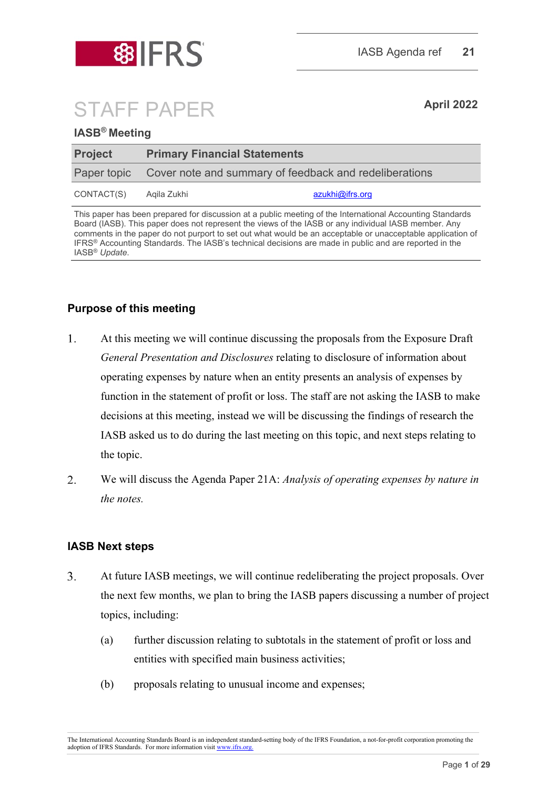

# STAFF PAPER **April <sup>2022</sup>**

#### **IASB® Meeting**

| <b>Project</b> | <b>Primary Financial Statements</b> |                                                                    |  |
|----------------|-------------------------------------|--------------------------------------------------------------------|--|
|                |                                     | Paper topic Cover note and summary of feedback and redeliberations |  |
| CONTACT(S)     | Agila Zukhi                         | azukhi@ifrs.org                                                    |  |

This paper has been prepared for discussion at a public meeting of the International Accounting Standards Board (IASB). This paper does not represent the views of the IASB or any individual IASB member. Any comments in the paper do not purport to set out what would be an acceptable or unacceptable application of IFRS® Accounting Standards. The IASB's technical decisions are made in public and are reported in the IASB® *Update*.

#### **Purpose of this meeting**

- $\mathbf{1}$ . At this meeting we will continue discussing the proposals from the Exposure Draft *General Presentation and Disclosures* relating to disclosure of information about operating expenses by nature when an entity presents an analysis of expenses by function in the statement of profit or loss. The staff are not asking the IASB to make decisions at this meeting, instead we will be discussing the findings of research the IASB asked us to do during the last meeting on this topic, and next steps relating to the topic.
- $\overline{2}$ . We will discuss the Agenda Paper 21A: *Analysis of operating expenses by nature in the notes.*

#### **IASB Next steps**

- $3.$ At future IASB meetings, we will continue redeliberating the project proposals. Over the next few months, we plan to bring the IASB papers discussing a number of project topics, including:
	- (a) further discussion relating to subtotals in the statement of profit or loss and entities with specified main business activities;
	- (b) proposals relating to unusual income and expenses;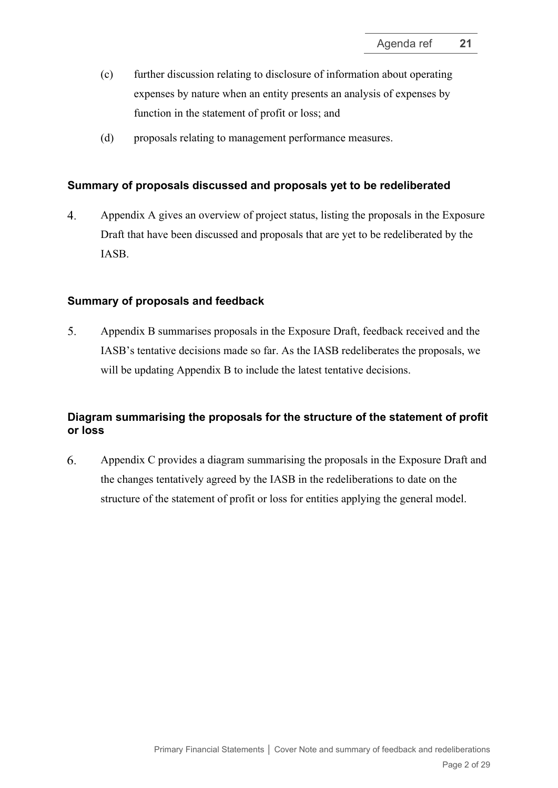- (c) further discussion relating to disclosure of information about operating expenses by nature when an entity presents an analysis of expenses by function in the statement of profit or loss; and
- (d) proposals relating to management performance measures.

#### **Summary of proposals discussed and proposals yet to be redeliberated**

 $4.$ Appendix A gives an overview of project status, listing the proposals in the Exposure Draft that have been discussed and proposals that are yet to be redeliberated by the IASB.

#### **Summary of proposals and feedback**

5. Appendix B summarises proposals in the Exposure Draft, feedback received and the IASB's tentative decisions made so far. As the IASB redeliberates the proposals, we will be updating Appendix B to include the latest tentative decisions.

#### **Diagram summarising the proposals for the structure of the statement of profit or loss**

6. Appendix C provides a diagram summarising the proposals in the Exposure Draft and the changes tentatively agreed by the IASB in the redeliberations to date on the structure of the statement of profit or loss for entities applying the general model.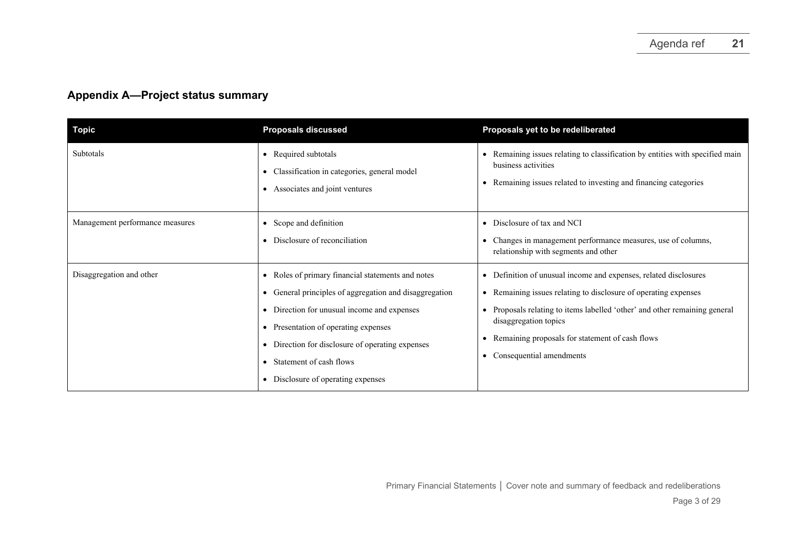## **Appendix A—Project status summary**

| <b>Topic</b>                    | <b>Proposals discussed</b>                                                                                                                                                                                                                                                                                                | Proposals yet to be redeliberated                                                                                                                                                                                                                                                                                     |
|---------------------------------|---------------------------------------------------------------------------------------------------------------------------------------------------------------------------------------------------------------------------------------------------------------------------------------------------------------------------|-----------------------------------------------------------------------------------------------------------------------------------------------------------------------------------------------------------------------------------------------------------------------------------------------------------------------|
| Subtotals                       | • Required subtotals<br>• Classification in categories, general model<br>• Associates and joint ventures                                                                                                                                                                                                                  | • Remaining issues relating to classification by entities with specified main<br>business activities<br>Remaining issues related to investing and financing categories                                                                                                                                                |
| Management performance measures | • Scope and definition<br>• Disclosure of reconciliation                                                                                                                                                                                                                                                                  | • Disclosure of tax and NCI<br>Changes in management performance measures, use of columns,<br>relationship with segments and other                                                                                                                                                                                    |
| Disaggregation and other        | • Roles of primary financial statements and notes<br>• General principles of aggregation and disaggregation<br>• Direction for unusual income and expenses<br>• Presentation of operating expenses<br>• Direction for disclosure of operating expenses<br>• Statement of cash flows<br>• Disclosure of operating expenses | • Definition of unusual income and expenses, related disclosures<br>Remaining issues relating to disclosure of operating expenses<br>Proposals relating to items labelled 'other' and other remaining general<br>disaggregation topics<br>Remaining proposals for statement of cash flows<br>Consequential amendments |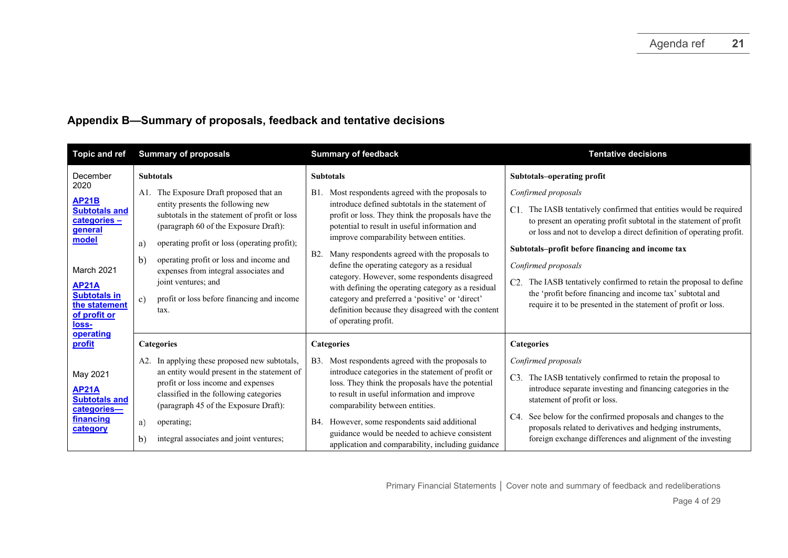### **Appendix B—Summary of proposals, feedback and tentative decisions**

| <b>Topic and ref</b>                                                                               | <b>Summary of proposals</b>                                                                                                                                                                                                                                                                                                                                                                                                                                                  | <b>Summary of feedback</b>                                                                                                                                                                                                                                                                                                                               | <b>Tentative decisions</b>                                                                                                                                                                                                                                                       |
|----------------------------------------------------------------------------------------------------|------------------------------------------------------------------------------------------------------------------------------------------------------------------------------------------------------------------------------------------------------------------------------------------------------------------------------------------------------------------------------------------------------------------------------------------------------------------------------|----------------------------------------------------------------------------------------------------------------------------------------------------------------------------------------------------------------------------------------------------------------------------------------------------------------------------------------------------------|----------------------------------------------------------------------------------------------------------------------------------------------------------------------------------------------------------------------------------------------------------------------------------|
| December<br>2020<br><b>AP21B</b><br><b>Subtotals and</b><br>categories-<br><b>general</b><br>model | <b>Subtotals</b><br><b>Subtotals</b><br>The Exposure Draft proposed that an<br>Most respondents agreed with the proposals to<br>A1.<br>B1.<br>entity presents the following new<br>introduce defined subtotals in the statement of<br>subtotals in the statement of profit or loss<br>profit or loss. They think the proposals have the<br>(paragraph 60 of the Exposure Draft):<br>potential to result in useful information and<br>improve comparability between entities. |                                                                                                                                                                                                                                                                                                                                                          | Subtotals-operating profit<br>Confirmed proposals<br>C1. The IASB tentatively confirmed that entities would be required<br>to present an operating profit subtotal in the statement of profit<br>or loss and not to develop a direct definition of operating profit.             |
| March 2021<br><b>AP21A</b><br><b>Subtotals in</b><br>the statement<br>of profit or<br><u>loss-</u> | operating profit or loss (operating profit);<br>a)<br>operating profit or loss and income and<br>b)<br>expenses from integral associates and<br>joint ventures; and<br>profit or loss before financing and income<br>c)<br>tax.                                                                                                                                                                                                                                              | Many respondents agreed with the proposals to<br>B <sub>2</sub> .<br>define the operating category as a residual<br>category. However, some respondents disagreed<br>with defining the operating category as a residual<br>category and preferred a 'positive' or 'direct'<br>definition because they disagreed with the content<br>of operating profit. | Subtotals-profit before financing and income tax<br>Confirmed proposals<br>The IASB tentatively confirmed to retain the proposal to define<br>C2.<br>the 'profit before financing and income tax' subtotal and<br>require it to be presented in the statement of profit or loss. |
| operating<br>profit<br>May 2021<br><b>AP21A</b><br><b>Subtotals and</b>                            | <b>Categories</b><br>In applying these proposed new subtotals,<br>A2.<br>an entity would present in the statement of<br>profit or loss income and expenses<br>classified in the following categories                                                                                                                                                                                                                                                                         | <b>Categories</b><br>Most respondents agreed with the proposals to<br><b>B</b> 3.<br>introduce categories in the statement of profit or<br>loss. They think the proposals have the potential<br>to result in useful information and improve                                                                                                              | <b>Categories</b><br>Confirmed proposals<br>The IASB tentatively confirmed to retain the proposal to<br>C3.<br>introduce separate investing and financing categories in the<br>statement of profit or loss.                                                                      |
| categories-<br>financing<br>category                                                               | (paragraph 45 of the Exposure Draft):<br>a)<br>operating;<br>integral associates and joint ventures;<br>b)                                                                                                                                                                                                                                                                                                                                                                   | comparability between entities.<br>However, some respondents said additional<br>B4.<br>guidance would be needed to achieve consistent<br>application and comparability, including guidance                                                                                                                                                               | See below for the confirmed proposals and changes to the<br>C4.<br>proposals related to derivatives and hedging instruments,<br>foreign exchange differences and alignment of the investing                                                                                      |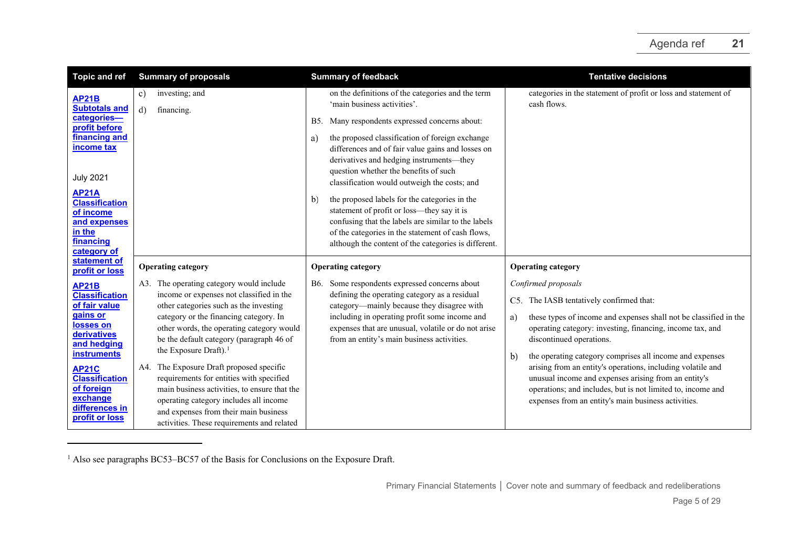<span id="page-4-0"></span>

| <b>Topic and ref</b>                                                                                     | <b>Summary of proposals</b>                                                                                                                                                                                                                                           | <b>Summary of feedback</b>                                                                                                                                                                                                                                            | <b>Tentative decisions</b>                                                                                                                                                                                                                |
|----------------------------------------------------------------------------------------------------------|-----------------------------------------------------------------------------------------------------------------------------------------------------------------------------------------------------------------------------------------------------------------------|-----------------------------------------------------------------------------------------------------------------------------------------------------------------------------------------------------------------------------------------------------------------------|-------------------------------------------------------------------------------------------------------------------------------------------------------------------------------------------------------------------------------------------|
| <b>AP21B</b><br><b>Subtotals and</b><br>categories-                                                      | investing; and<br>C)<br>$\mathbf{d}$<br>financing.                                                                                                                                                                                                                    | on the definitions of the categories and the term<br>'main business activities'.<br>Many respondents expressed concerns about:<br>B5.                                                                                                                                 | categories in the statement of profit or loss and statement of<br>cash flows.                                                                                                                                                             |
| profit before<br>financing and<br><b>income tax</b><br><b>July 2021</b>                                  |                                                                                                                                                                                                                                                                       | the proposed classification of foreign exchange<br>a)<br>differences and of fair value gains and losses on<br>derivatives and hedging instruments—they<br>question whether the benefits of such<br>classification would outweigh the costs; and                       |                                                                                                                                                                                                                                           |
| <b>AP21A</b><br><b>Classification</b><br>of income<br>and expenses<br>in the<br>financing<br>category of |                                                                                                                                                                                                                                                                       | the proposed labels for the categories in the<br>b)<br>statement of profit or loss-they say it is<br>confusing that the labels are similar to the labels<br>of the categories in the statement of cash flows,<br>although the content of the categories is different. |                                                                                                                                                                                                                                           |
| statement of<br>profit or loss                                                                           | <b>Operating category</b>                                                                                                                                                                                                                                             | <b>Operating category</b>                                                                                                                                                                                                                                             | <b>Operating category</b>                                                                                                                                                                                                                 |
| <b>AP21B</b>                                                                                             | A3. The operating category would include                                                                                                                                                                                                                              | Some respondents expressed concerns about<br>B6.                                                                                                                                                                                                                      | Confirmed proposals                                                                                                                                                                                                                       |
| <b>Classification</b><br>of fair value                                                                   | income or expenses not classified in the<br>other categories such as the investing                                                                                                                                                                                    | defining the operating category as a residual<br>category-mainly because they disagree with                                                                                                                                                                           | C5. The IASB tentatively confirmed that:                                                                                                                                                                                                  |
| <u>gains or</u><br>losses on<br>derivatives<br>and hedging<br><b>instruments</b>                         | category or the financing category. In<br>other words, the operating category would<br>be the default category (paragraph 46 of<br>the Exposure Draft). <sup>1</sup>                                                                                                  | including in operating profit some income and<br>expenses that are unusual, volatile or do not arise<br>from an entity's main business activities.                                                                                                                    | these types of income and expenses shall not be classified in the<br>a)<br>operating category: investing, financing, income tax, and<br>discontinued operations.<br>the operating category comprises all income and expenses<br>b)        |
| <b>AP21C</b><br><b>Classification</b><br>of foreign<br>exchange<br>differences in<br>profit or loss      | A4. The Exposure Draft proposed specific<br>requirements for entities with specified<br>main business activities, to ensure that the<br>operating category includes all income<br>and expenses from their main business<br>activities. These requirements and related |                                                                                                                                                                                                                                                                       | arising from an entity's operations, including volatile and<br>unusual income and expenses arising from an entity's<br>operations; and includes, but is not limited to, income and<br>expenses from an entity's main business activities. |

 $1$  Also see paragraphs BC53–BC57 of the Basis for Conclusions on the Exposure Draft.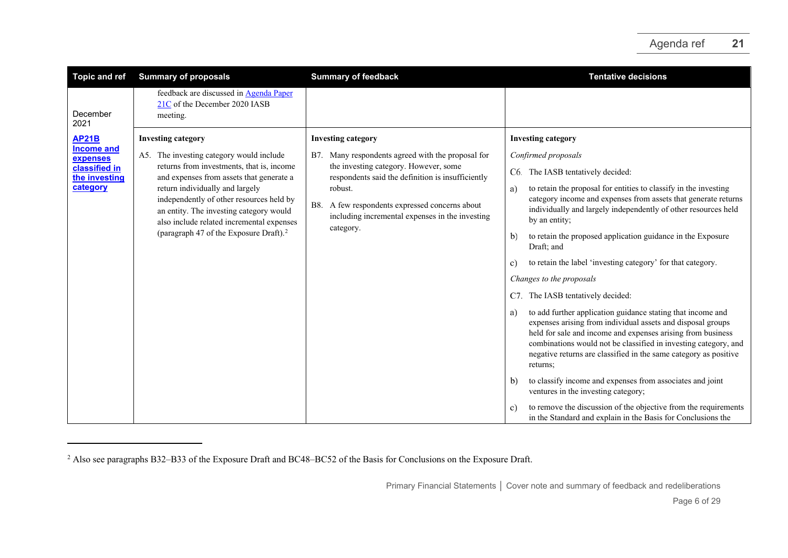<span id="page-5-0"></span>

| <b>Topic and ref</b>                                                                        | <b>Summary of proposals</b>                                                                                                                                                                                                                                                                                                                                                                 | <b>Summary of feedback</b>                                                                                                                                                                                                                                                                                      | <b>Tentative decisions</b>                                                                                                                                                                                                                                                                                                                                                                                                                                                                                                                                                                                                                                                                                                                                                                                                                                                                                                                                                                                                                                                                                    |
|---------------------------------------------------------------------------------------------|---------------------------------------------------------------------------------------------------------------------------------------------------------------------------------------------------------------------------------------------------------------------------------------------------------------------------------------------------------------------------------------------|-----------------------------------------------------------------------------------------------------------------------------------------------------------------------------------------------------------------------------------------------------------------------------------------------------------------|---------------------------------------------------------------------------------------------------------------------------------------------------------------------------------------------------------------------------------------------------------------------------------------------------------------------------------------------------------------------------------------------------------------------------------------------------------------------------------------------------------------------------------------------------------------------------------------------------------------------------------------------------------------------------------------------------------------------------------------------------------------------------------------------------------------------------------------------------------------------------------------------------------------------------------------------------------------------------------------------------------------------------------------------------------------------------------------------------------------|
| December<br>2021                                                                            | feedback are discussed in Agenda Paper<br>21C of the December 2020 IASB<br>meeting.                                                                                                                                                                                                                                                                                                         |                                                                                                                                                                                                                                                                                                                 |                                                                                                                                                                                                                                                                                                                                                                                                                                                                                                                                                                                                                                                                                                                                                                                                                                                                                                                                                                                                                                                                                                               |
| <b>AP21B</b><br><b>Income and</b><br>expenses<br>classified in<br>the investing<br>category | <b>Investing category</b><br>A5. The investing category would include<br>returns from investments, that is, income<br>and expenses from assets that generate a<br>return individually and largely<br>independently of other resources held by<br>an entity. The investing category would<br>also include related incremental expenses<br>(paragraph 47 of the Exposure Draft). <sup>2</sup> | <b>Investing category</b><br>Many respondents agreed with the proposal for<br>B7.<br>the investing category. However, some<br>respondents said the definition is insufficiently<br>robust.<br>A few respondents expressed concerns about<br>B8.<br>including incremental expenses in the investing<br>category. | <b>Investing category</b><br>Confirmed proposals<br>C6. The IASB tentatively decided:<br>to retain the proposal for entities to classify in the investing<br>a)<br>category income and expenses from assets that generate returns<br>individually and largely independently of other resources held<br>by an entity;<br>to retain the proposed application guidance in the Exposure<br>$\mathbf{b}$<br>Draft; and<br>to retain the label 'investing category' for that category.<br>c)<br>Changes to the proposals<br>The IASB tentatively decided:<br>C7.<br>to add further application guidance stating that income and<br>a)<br>expenses arising from individual assets and disposal groups<br>held for sale and income and expenses arising from business<br>combinations would not be classified in investing category, and<br>negative returns are classified in the same category as positive<br>returns;<br>to classify income and expenses from associates and joint<br>$\mathbf{b}$<br>ventures in the investing category;<br>to remove the discussion of the objective from the requirements<br>c) |
|                                                                                             |                                                                                                                                                                                                                                                                                                                                                                                             |                                                                                                                                                                                                                                                                                                                 | in the Standard and explain in the Basis for Conclusions the                                                                                                                                                                                                                                                                                                                                                                                                                                                                                                                                                                                                                                                                                                                                                                                                                                                                                                                                                                                                                                                  |

<sup>&</sup>lt;sup>2</sup> Also see paragraphs B32–B33 of the Exposure Draft and BC48–BC52 of the Basis for Conclusions on the Exposure Draft.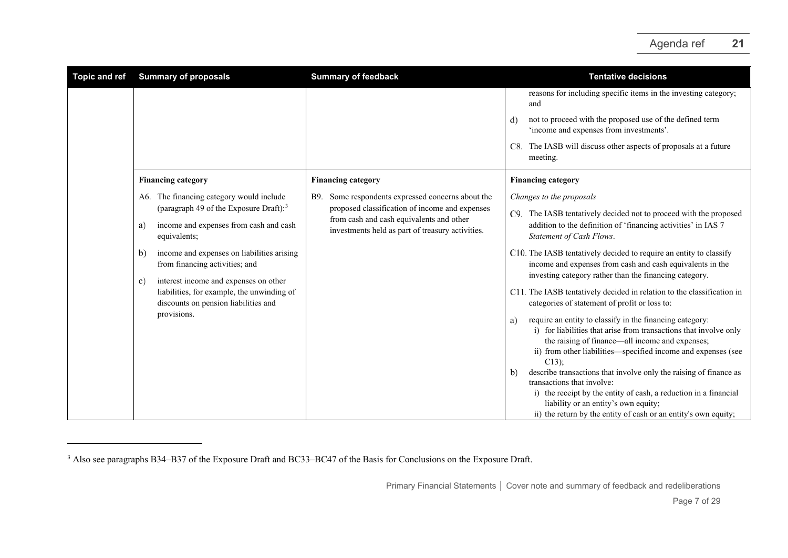<span id="page-6-0"></span>

| <b>Topic and ref</b> | <b>Summary of proposals</b>                                                                                                                                                                                                                                                                                                                                                                     | <b>Summary of feedback</b>                                                                                                                                                                             | <b>Tentative decisions</b>                                                                                                                                                                                                                                                                                                                                                                                                                                                                                                                                                                                                                                                                                                                                                                                                                                                                                                                                                                                                                                                       |
|----------------------|-------------------------------------------------------------------------------------------------------------------------------------------------------------------------------------------------------------------------------------------------------------------------------------------------------------------------------------------------------------------------------------------------|--------------------------------------------------------------------------------------------------------------------------------------------------------------------------------------------------------|----------------------------------------------------------------------------------------------------------------------------------------------------------------------------------------------------------------------------------------------------------------------------------------------------------------------------------------------------------------------------------------------------------------------------------------------------------------------------------------------------------------------------------------------------------------------------------------------------------------------------------------------------------------------------------------------------------------------------------------------------------------------------------------------------------------------------------------------------------------------------------------------------------------------------------------------------------------------------------------------------------------------------------------------------------------------------------|
|                      |                                                                                                                                                                                                                                                                                                                                                                                                 |                                                                                                                                                                                                        | reasons for including specific items in the investing category;<br>and<br>not to proceed with the proposed use of the defined term<br>d)<br>'income and expenses from investments'.<br>C8. The IASB will discuss other aspects of proposals at a future<br>meeting.                                                                                                                                                                                                                                                                                                                                                                                                                                                                                                                                                                                                                                                                                                                                                                                                              |
|                      | <b>Financing category</b>                                                                                                                                                                                                                                                                                                                                                                       | <b>Financing category</b>                                                                                                                                                                              | <b>Financing category</b>                                                                                                                                                                                                                                                                                                                                                                                                                                                                                                                                                                                                                                                                                                                                                                                                                                                                                                                                                                                                                                                        |
|                      | A6. The financing category would include<br>(paragraph 49 of the Exposure Draft): $3$<br>income and expenses from cash and cash<br>a)<br>equivalents;<br>income and expenses on liabilities arising<br>b)<br>from financing activities; and<br>interest income and expenses on other<br>c)<br>liabilities, for example, the unwinding of<br>discounts on pension liabilities and<br>provisions. | Some respondents expressed concerns about the<br>B9.<br>proposed classification of income and expenses<br>from cash and cash equivalents and other<br>investments held as part of treasury activities. | Changes to the proposals<br>C9. The IASB tentatively decided not to proceed with the proposed<br>addition to the definition of 'financing activities' in IAS 7<br>Statement of Cash Flows.<br>C10. The IASB tentatively decided to require an entity to classify<br>income and expenses from cash and cash equivalents in the<br>investing category rather than the financing category.<br>C11. The IASB tentatively decided in relation to the classification in<br>categories of statement of profit or loss to:<br>require an entity to classify in the financing category:<br>a)<br>i) for liabilities that arise from transactions that involve only<br>the raising of finance—all income and expenses;<br>ii) from other liabilities—specified income and expenses (see<br>$C13$ ;<br>describe transactions that involve only the raising of finance as<br>b)<br>transactions that involve:<br>i) the receipt by the entity of cash, a reduction in a financial<br>liability or an entity's own equity;<br>ii) the return by the entity of cash or an entity's own equity; |

<sup>&</sup>lt;sup>3</sup> Also see paragraphs B34–B37 of the Exposure Draft and BC33–BC47 of the Basis for Conclusions on the Exposure Draft.

Primary Financial Statements **│** Cover note and summary of feedback and redeliberations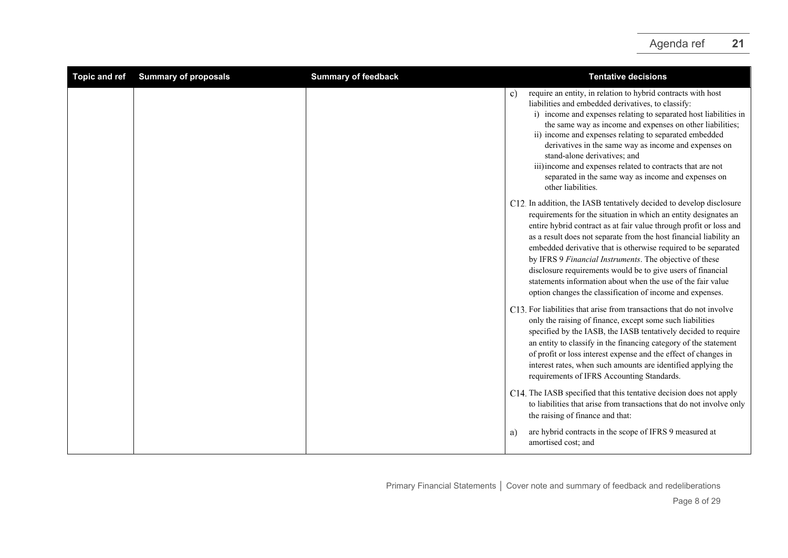<span id="page-7-0"></span>

| <b>Topic and ref</b> | <b>Summary of proposals</b> | <b>Summary of feedback</b> | <b>Tentative decisions</b>                                                                                                                                                                                                                                                                                                                                                                                                                                                                                                                                                                                  |
|----------------------|-----------------------------|----------------------------|-------------------------------------------------------------------------------------------------------------------------------------------------------------------------------------------------------------------------------------------------------------------------------------------------------------------------------------------------------------------------------------------------------------------------------------------------------------------------------------------------------------------------------------------------------------------------------------------------------------|
|                      |                             |                            | require an entity, in relation to hybrid contracts with host<br>c)<br>liabilities and embedded derivatives, to classify:<br>i) income and expenses relating to separated host liabilities in<br>the same way as income and expenses on other liabilities;<br>ii) income and expenses relating to separated embedded<br>derivatives in the same way as income and expenses on<br>stand-alone derivatives; and<br>iii) income and expenses related to contracts that are not<br>separated in the same way as income and expenses on<br>other liabilities.                                                     |
|                      |                             |                            | C12. In addition, the IASB tentatively decided to develop disclosure<br>requirements for the situation in which an entity designates an<br>entire hybrid contract as at fair value through profit or loss and<br>as a result does not separate from the host financial liability an<br>embedded derivative that is otherwise required to be separated<br>by IFRS 9 Financial Instruments. The objective of these<br>disclosure requirements would be to give users of financial<br>statements information about when the use of the fair value<br>option changes the classification of income and expenses. |
|                      |                             |                            | C13. For liabilities that arise from transactions that do not involve<br>only the raising of finance, except some such liabilities<br>specified by the IASB, the IASB tentatively decided to require<br>an entity to classify in the financing category of the statement<br>of profit or loss interest expense and the effect of changes in<br>interest rates, when such amounts are identified applying the<br>requirements of IFRS Accounting Standards.                                                                                                                                                  |
|                      |                             |                            | C14. The IASB specified that this tentative decision does not apply<br>to liabilities that arise from transactions that do not involve only<br>the raising of finance and that:                                                                                                                                                                                                                                                                                                                                                                                                                             |
|                      |                             |                            | are hybrid contracts in the scope of IFRS 9 measured at<br>a)<br>amortised cost; and                                                                                                                                                                                                                                                                                                                                                                                                                                                                                                                        |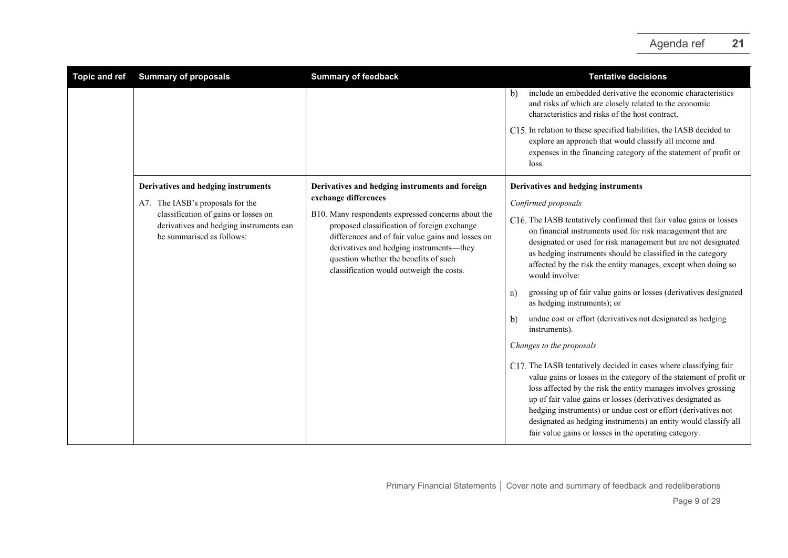| <b>Topic and ref</b> | <b>Summary of proposals</b>                                                                                  | <b>Summary of feedback</b>                                                                                                                                                                                                                                                                                                                                         | <b>Tentative decisions</b>                                                                                                                                                                                                                                                                                                                                                                                                                                             |
|----------------------|--------------------------------------------------------------------------------------------------------------|--------------------------------------------------------------------------------------------------------------------------------------------------------------------------------------------------------------------------------------------------------------------------------------------------------------------------------------------------------------------|------------------------------------------------------------------------------------------------------------------------------------------------------------------------------------------------------------------------------------------------------------------------------------------------------------------------------------------------------------------------------------------------------------------------------------------------------------------------|
|                      |                                                                                                              |                                                                                                                                                                                                                                                                                                                                                                    | include an embedded derivative the economic characteristics<br>b)<br>and risks of which are closely related to the economic<br>characteristics and risks of the host contract.                                                                                                                                                                                                                                                                                         |
|                      |                                                                                                              |                                                                                                                                                                                                                                                                                                                                                                    | C15. In relation to these specified liabilities, the IASB decided to<br>explore an approach that would classify all income and<br>expenses in the financing category of the statement of profit or<br>loss.                                                                                                                                                                                                                                                            |
|                      | Derivatives and hedging instruments                                                                          | Derivatives and hedging instruments and foreign<br>exchange differences<br>B10. Many respondents expressed concerns about the<br>proposed classification of foreign exchange<br>differences and of fair value gains and losses on<br>derivatives and hedging instruments—they<br>question whether the benefits of such<br>classification would outweigh the costs. | Derivatives and hedging instruments                                                                                                                                                                                                                                                                                                                                                                                                                                    |
|                      | A7. The IASB's proposals for the                                                                             |                                                                                                                                                                                                                                                                                                                                                                    | Confirmed proposals                                                                                                                                                                                                                                                                                                                                                                                                                                                    |
|                      | classification of gains or losses on<br>derivatives and hedging instruments can<br>be summarised as follows: |                                                                                                                                                                                                                                                                                                                                                                    | C16. The IASB tentatively confirmed that fair value gains or losses<br>on financial instruments used for risk management that are<br>designated or used for risk management but are not designated<br>as hedging instruments should be classified in the category<br>affected by the risk the entity manages, except when doing so<br>would involve:                                                                                                                   |
|                      |                                                                                                              |                                                                                                                                                                                                                                                                                                                                                                    | grossing up of fair value gains or losses (derivatives designated<br>a)<br>as hedging instruments); or                                                                                                                                                                                                                                                                                                                                                                 |
|                      |                                                                                                              |                                                                                                                                                                                                                                                                                                                                                                    | undue cost or effort (derivatives not designated as hedging<br>b)<br>instruments).                                                                                                                                                                                                                                                                                                                                                                                     |
|                      |                                                                                                              |                                                                                                                                                                                                                                                                                                                                                                    | Changes to the proposals                                                                                                                                                                                                                                                                                                                                                                                                                                               |
|                      |                                                                                                              |                                                                                                                                                                                                                                                                                                                                                                    | C17. The IASB tentatively decided in cases where classifying fair<br>value gains or losses in the category of the statement of profit or<br>loss affected by the risk the entity manages involves grossing<br>up of fair value gains or losses (derivatives designated as<br>hedging instruments) or undue cost or effort (derivatives not<br>designated as hedging instruments) an entity would classify all<br>fair value gains or losses in the operating category. |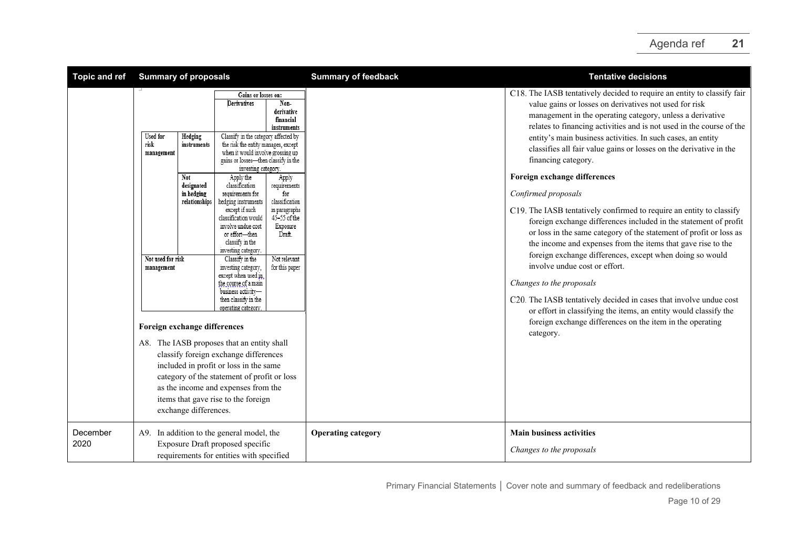| <b>Topic and ref</b> | <b>Summary of proposals</b>                                                                                                                                                                                     |                                                                                                                                                                                                                                                                                                                                                                                                                                                                                                                                                                                                                                                                                                                                                                                                                                                                                                                                                                                                                                                         | <b>Summary of feedback</b> | <b>Tentative decisions</b>                                                                                                                                                                                                                                                                                                                                                                                                                                                                                                                                                                                                                                                                                                                                                                                                                                                                                                                                                                                                                                                                                               |
|----------------------|-----------------------------------------------------------------------------------------------------------------------------------------------------------------------------------------------------------------|---------------------------------------------------------------------------------------------------------------------------------------------------------------------------------------------------------------------------------------------------------------------------------------------------------------------------------------------------------------------------------------------------------------------------------------------------------------------------------------------------------------------------------------------------------------------------------------------------------------------------------------------------------------------------------------------------------------------------------------------------------------------------------------------------------------------------------------------------------------------------------------------------------------------------------------------------------------------------------------------------------------------------------------------------------|----------------------------|--------------------------------------------------------------------------------------------------------------------------------------------------------------------------------------------------------------------------------------------------------------------------------------------------------------------------------------------------------------------------------------------------------------------------------------------------------------------------------------------------------------------------------------------------------------------------------------------------------------------------------------------------------------------------------------------------------------------------------------------------------------------------------------------------------------------------------------------------------------------------------------------------------------------------------------------------------------------------------------------------------------------------------------------------------------------------------------------------------------------------|
|                      | <b>Used</b> for<br>Hedging<br>risk<br>instruments<br>management<br>Not<br>designated<br>in hedging<br>relationships<br>Not used for risk<br>management<br>Foreign exchange differences<br>exchange differences. | Gains or losses on:<br>Non-<br>Derivatives<br>derivative<br>financial<br>instruments<br>Classify in the category affected by<br>the risk the entity manages, except<br>when it would involve grossing up<br>gains or losses-then classify in the<br>investing category.<br>Apply the<br>Apply<br>classification<br>requirements<br>for<br>requirements for<br>hedging instruments<br>classification<br>except if such<br>in paragraphs<br>$45 - 55$ of the<br>classification would<br>involve undue cost<br>Exposure<br>Draft.<br>or effort—then<br>classify in the<br>investing category.<br>Not relevant<br>Classify in the<br>for this paper<br>investing category,<br>except when used in<br>the course of a main<br>business activity-<br>then classify in the<br>operating category<br>A8. The IASB proposes that an entity shall<br>classify foreign exchange differences<br>included in profit or loss in the same<br>category of the statement of profit or loss<br>as the income and expenses from the<br>items that gave rise to the foreign |                            | C18. The IASB tentatively decided to require an entity to classify fair<br>value gains or losses on derivatives not used for risk<br>management in the operating category, unless a derivative<br>relates to financing activities and is not used in the course of the<br>entity's main business activities. In such cases, an entity<br>classifies all fair value gains or losses on the derivative in the<br>financing category.<br>Foreign exchange differences<br>Confirmed proposals<br>C19. The IASB tentatively confirmed to require an entity to classify<br>foreign exchange differences included in the statement of profit<br>or loss in the same category of the statement of profit or loss as<br>the income and expenses from the items that gave rise to the<br>foreign exchange differences, except when doing so would<br>involve undue cost or effort.<br>Changes to the proposals<br>C20. The IASB tentatively decided in cases that involve undue cost<br>or effort in classifying the items, an entity would classify the<br>foreign exchange differences on the item in the operating<br>category. |
| December<br>2020     | A9. In addition to the general model, the                                                                                                                                                                       | Exposure Draft proposed specific<br>requirements for entities with specified                                                                                                                                                                                                                                                                                                                                                                                                                                                                                                                                                                                                                                                                                                                                                                                                                                                                                                                                                                            | <b>Operating category</b>  | <b>Main business activities</b><br>Changes to the proposals                                                                                                                                                                                                                                                                                                                                                                                                                                                                                                                                                                                                                                                                                                                                                                                                                                                                                                                                                                                                                                                              |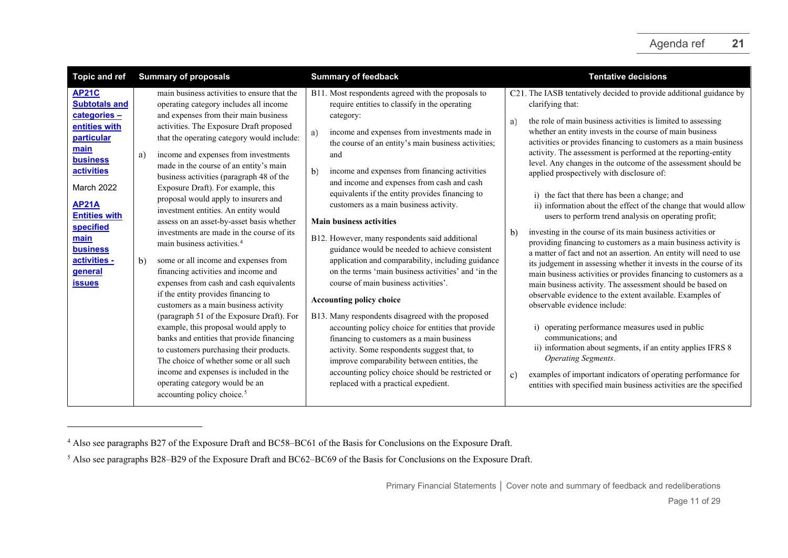<span id="page-10-1"></span><span id="page-10-0"></span>

| <b>Topic and ref</b>                                                                                                                                                                                                                                                                       | <b>Summary of proposals</b>                                                                                                                                                                                                                                                                                                                                                                                                                                                                                                                                                                                                                                                                                                                                                                                                                                                                                                                                                                                                                                                                                                                                                         | <b>Summary of feedback</b>                                                                                                                                                                                                                                                                                                                                                                                                                                                                                                                                                                                                                                                                                                                                                                                                                                                                                                                                                                                                                                                                                             | <b>Tentative decisions</b>                                                                                                                                                                                                                                                                                                                                                                                                                                                                                                                                                                                                                                                                                                                                                                                                                                                                                                                                                                                                                                                                                                                                                                                                                                                                                                                                                                                                                                                         |  |
|--------------------------------------------------------------------------------------------------------------------------------------------------------------------------------------------------------------------------------------------------------------------------------------------|-------------------------------------------------------------------------------------------------------------------------------------------------------------------------------------------------------------------------------------------------------------------------------------------------------------------------------------------------------------------------------------------------------------------------------------------------------------------------------------------------------------------------------------------------------------------------------------------------------------------------------------------------------------------------------------------------------------------------------------------------------------------------------------------------------------------------------------------------------------------------------------------------------------------------------------------------------------------------------------------------------------------------------------------------------------------------------------------------------------------------------------------------------------------------------------|------------------------------------------------------------------------------------------------------------------------------------------------------------------------------------------------------------------------------------------------------------------------------------------------------------------------------------------------------------------------------------------------------------------------------------------------------------------------------------------------------------------------------------------------------------------------------------------------------------------------------------------------------------------------------------------------------------------------------------------------------------------------------------------------------------------------------------------------------------------------------------------------------------------------------------------------------------------------------------------------------------------------------------------------------------------------------------------------------------------------|------------------------------------------------------------------------------------------------------------------------------------------------------------------------------------------------------------------------------------------------------------------------------------------------------------------------------------------------------------------------------------------------------------------------------------------------------------------------------------------------------------------------------------------------------------------------------------------------------------------------------------------------------------------------------------------------------------------------------------------------------------------------------------------------------------------------------------------------------------------------------------------------------------------------------------------------------------------------------------------------------------------------------------------------------------------------------------------------------------------------------------------------------------------------------------------------------------------------------------------------------------------------------------------------------------------------------------------------------------------------------------------------------------------------------------------------------------------------------------|--|
| <b>AP21C</b><br><b>Subtotals and</b><br>categories-<br>entities with<br>particular<br>main<br><b>business</b><br><b>activities</b><br><b>March 2022</b><br><b>AP21A</b><br><b>Entities with</b><br>specified<br>main<br><b>business</b><br>activities -<br><b>general</b><br><b>issues</b> | main business activities to ensure that the<br>operating category includes all income<br>and expenses from their main business<br>activities. The Exposure Draft proposed<br>that the operating category would include:<br>income and expenses from investments<br>a)<br>made in the course of an entity's main<br>business activities (paragraph 48 of the<br>Exposure Draft). For example, this<br>proposal would apply to insurers and<br>investment entities. An entity would<br>assess on an asset-by-asset basis whether<br>investments are made in the course of its<br>main business activities. <sup>4</sup><br>b)<br>some or all income and expenses from<br>financing activities and income and<br>expenses from cash and cash equivalents<br>if the entity provides financing to<br>customers as a main business activity<br>(paragraph 51 of the Exposure Draft). For<br>example, this proposal would apply to<br>banks and entities that provide financing<br>to customers purchasing their products.<br>The choice of whether some or all such<br>income and expenses is included in the<br>operating category would be an<br>accounting policy choice. <sup>5</sup> | B11. Most respondents agreed with the proposals to<br>require entities to classify in the operating<br>category:<br>income and expenses from investments made in<br>a)<br>the course of an entity's main business activities;<br>and<br>income and expenses from financing activities<br>b)<br>and income and expenses from cash and cash<br>equivalents if the entity provides financing to<br>customers as a main business activity.<br><b>Main business activities</b><br>B12. However, many respondents said additional<br>guidance would be needed to achieve consistent<br>application and comparability, including guidance<br>on the terms 'main business activities' and 'in the<br>course of main business activities'.<br><b>Accounting policy choice</b><br>B13. Many respondents disagreed with the proposed<br>accounting policy choice for entities that provide<br>financing to customers as a main business<br>activity. Some respondents suggest that, to<br>improve comparability between entities, the<br>accounting policy choice should be restricted or<br>replaced with a practical expedient. | C21. The IASB tentatively decided to provide additional guidance by<br>clarifying that:<br>the role of main business activities is limited to assessing<br>a)<br>whether an entity invests in the course of main business<br>activities or provides financing to customers as a main business<br>activity. The assessment is performed at the reporting-entity<br>level. Any changes in the outcome of the assessment should be<br>applied prospectively with disclosure of:<br>i) the fact that there has been a change; and<br>ii) information about the effect of the change that would allow<br>users to perform trend analysis on operating profit;<br>investing in the course of its main business activities or<br>b)<br>providing financing to customers as a main business activity is<br>a matter of fact and not an assertion. An entity will need to use<br>its judgement in assessing whether it invests in the course of its<br>main business activities or provides financing to customers as a<br>main business activity. The assessment should be based on<br>observable evidence to the extent available. Examples of<br>observable evidence include:<br>operating performance measures used in public<br>communications; and<br>ii) information about segments, if an entity applies IFRS 8<br>Operating Segments.<br>examples of important indicators of operating performance for<br>C)<br>entities with specified main business activities are the specified |  |

<sup>4</sup> Also see paragraphs B27 of the Exposure Draft and BC58–BC61 of the Basis for Conclusions on the Exposure Draft.

<sup>&</sup>lt;sup>5</sup> Also see paragraphs B28–B29 of the Exposure Draft and BC62–BC69 of the Basis for Conclusions on the Exposure Draft.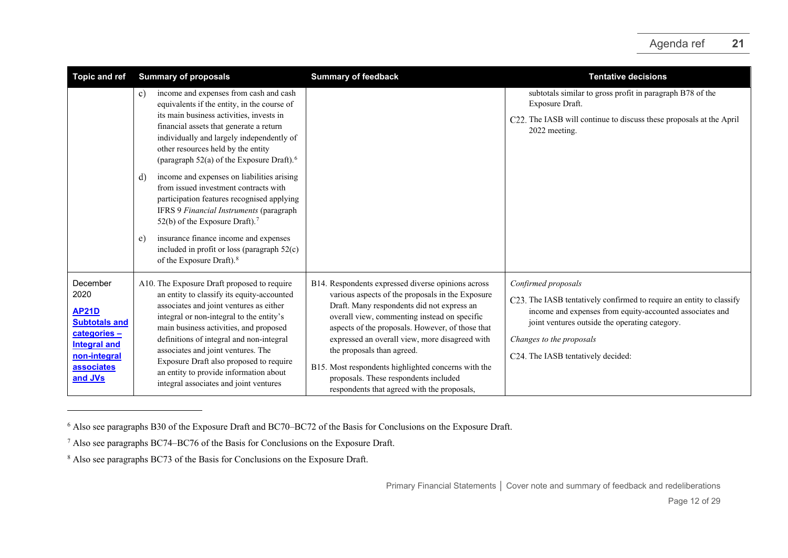<span id="page-11-2"></span><span id="page-11-1"></span><span id="page-11-0"></span>

| <b>Topic and ref</b>                                                                                                                     | <b>Summary of proposals</b>                                                                                                                                                                                                                                                                                                                                                                                                                                                                                                                                                                                                                                                                                  | <b>Summary of feedback</b>                                                                                                                                                                                                                                                                                                                                                                                                                                                              | <b>Tentative decisions</b>                                                                                                                                                                                                                                                  |
|------------------------------------------------------------------------------------------------------------------------------------------|--------------------------------------------------------------------------------------------------------------------------------------------------------------------------------------------------------------------------------------------------------------------------------------------------------------------------------------------------------------------------------------------------------------------------------------------------------------------------------------------------------------------------------------------------------------------------------------------------------------------------------------------------------------------------------------------------------------|-----------------------------------------------------------------------------------------------------------------------------------------------------------------------------------------------------------------------------------------------------------------------------------------------------------------------------------------------------------------------------------------------------------------------------------------------------------------------------------------|-----------------------------------------------------------------------------------------------------------------------------------------------------------------------------------------------------------------------------------------------------------------------------|
|                                                                                                                                          | income and expenses from cash and cash<br>c)<br>equivalents if the entity, in the course of<br>its main business activities, invests in<br>financial assets that generate a return<br>individually and largely independently of<br>other resources held by the entity<br>(paragraph 52(a) of the Exposure Draft). <sup>6</sup><br>income and expenses on liabilities arising<br>d)<br>from issued investment contracts with<br>participation features recognised applying<br>IFRS 9 Financial Instruments (paragraph<br>52(b) of the Exposure Draft). <sup>7</sup><br>insurance finance income and expenses<br>e)<br>included in profit or loss (paragraph $52(c)$ )<br>of the Exposure Draft). <sup>8</sup> |                                                                                                                                                                                                                                                                                                                                                                                                                                                                                         | subtotals similar to gross profit in paragraph B78 of the<br>Exposure Draft.<br>C22. The IASB will continue to discuss these proposals at the April<br>2022 meeting.                                                                                                        |
| December<br>2020<br><b>AP21D</b><br><b>Subtotals and</b><br>categories -<br><b>Integral and</b><br>non-integral<br>associates<br>and JVs | A10. The Exposure Draft proposed to require<br>an entity to classify its equity-accounted<br>associates and joint ventures as either<br>integral or non-integral to the entity's<br>main business activities, and proposed<br>definitions of integral and non-integral<br>associates and joint ventures. The<br>Exposure Draft also proposed to require<br>an entity to provide information about<br>integral associates and joint ventures                                                                                                                                                                                                                                                                  | B14. Respondents expressed diverse opinions across<br>various aspects of the proposals in the Exposure<br>Draft. Many respondents did not express an<br>overall view, commenting instead on specific<br>aspects of the proposals. However, of those that<br>expressed an overall view, more disagreed with<br>the proposals than agreed.<br>B15. Most respondents highlighted concerns with the<br>proposals. These respondents included<br>respondents that agreed with the proposals, | Confirmed proposals<br>C23. The IASB tentatively confirmed to require an entity to classify<br>income and expenses from equity-accounted associates and<br>joint ventures outside the operating category.<br>Changes to the proposals<br>C24. The IASB tentatively decided: |

<sup>6</sup> Also see paragraphs B30 of the Exposure Draft and BC70–BC72 of the Basis for Conclusions on the Exposure Draft.

<sup>7</sup> Also see paragraphs BC74–BC76 of the Basis for Conclusions on the Exposure Draft.

<sup>&</sup>lt;sup>8</sup> Also see paragraphs BC73 of the Basis for Conclusions on the Exposure Draft.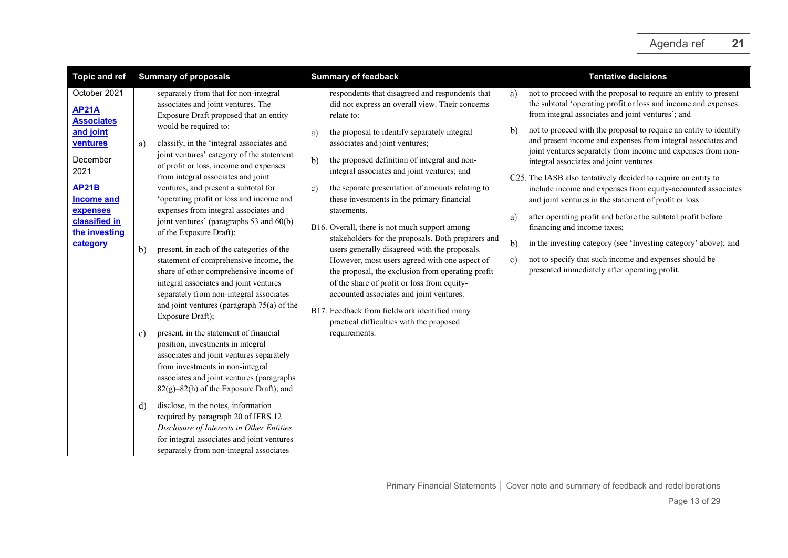| <b>Topic and ref</b>                                                                                                                            | <b>Summary of proposals</b>                                                                                                                                                                                                                                                                                                                                                                                                                                 | <b>Summary of feedback</b>                                                                                                                                                                                                                                                                                                                                                                                                                        | <b>Tentative decisions</b>                                                                                                                                                                                                                                                                                                                                                                                                                                                                                                                                                                                                                      |
|-------------------------------------------------------------------------------------------------------------------------------------------------|-------------------------------------------------------------------------------------------------------------------------------------------------------------------------------------------------------------------------------------------------------------------------------------------------------------------------------------------------------------------------------------------------------------------------------------------------------------|---------------------------------------------------------------------------------------------------------------------------------------------------------------------------------------------------------------------------------------------------------------------------------------------------------------------------------------------------------------------------------------------------------------------------------------------------|-------------------------------------------------------------------------------------------------------------------------------------------------------------------------------------------------------------------------------------------------------------------------------------------------------------------------------------------------------------------------------------------------------------------------------------------------------------------------------------------------------------------------------------------------------------------------------------------------------------------------------------------------|
| October 2021<br><b>AP21A</b><br><b>Associates</b><br>and joint<br>ventures<br>December<br>2021<br><b>AP21B</b><br><b>Income and</b><br>expenses | separately from that for non-integral<br>associates and joint ventures. The<br>Exposure Draft proposed that an entity<br>would be required to:<br>classify, in the 'integral associates and<br>a)<br>joint ventures' category of the statement<br>of profit or loss, income and expenses<br>from integral associates and joint<br>ventures, and present a subtotal for<br>'operating profit or loss and income and<br>expenses from integral associates and | respondents that disagreed and respondents that<br>did not express an overall view. Their concerns<br>relate to:<br>the proposal to identify separately integral<br>a)<br>associates and joint ventures;<br>b)<br>the proposed definition of integral and non-<br>integral associates and joint ventures; and<br>the separate presentation of amounts relating to<br>c)<br>these investments in the primary financial<br>statements.              | not to proceed with the proposal to require an entity to present<br>a)<br>the subtotal 'operating profit or loss and income and expenses<br>from integral associates and joint ventures'; and<br>not to proceed with the proposal to require an entity to identify<br>b)<br>and present income and expenses from integral associates and<br>joint ventures separately from income and expenses from non-<br>integral associates and joint ventures.<br>C25. The IASB also tentatively decided to require an entity to<br>include income and expenses from equity-accounted associates<br>and joint ventures in the statement of profit or loss: |
| classified in<br>the investing<br>category                                                                                                      | joint ventures' (paragraphs 53 and 60(b)<br>of the Exposure Draft);<br>b)<br>present, in each of the categories of the<br>statement of comprehensive income, the<br>share of other comprehensive income of<br>integral associates and joint ventures<br>separately from non-integral associates<br>and joint ventures (paragraph $75(a)$ of the<br>Exposure Draft);                                                                                         | B16. Overall, there is not much support among<br>stakeholders for the proposals. Both preparers and<br>users generally disagreed with the proposals.<br>However, most users agreed with one aspect of<br>the proposal, the exclusion from operating profit<br>of the share of profit or loss from equity-<br>accounted associates and joint ventures.<br>B17. Feedback from fieldwork identified many<br>practical difficulties with the proposed | after operating profit and before the subtotal profit before<br>a)<br>financing and income taxes;<br>in the investing category (see 'Investing category' above); and<br>b)<br>not to specify that such income and expenses should be<br>c)<br>presented immediately after operating profit.                                                                                                                                                                                                                                                                                                                                                     |
|                                                                                                                                                 | present, in the statement of financial<br>c)<br>position, investments in integral<br>associates and joint ventures separately<br>from investments in non-integral<br>associates and joint ventures (paragraphs<br>82(g)-82(h) of the Exposure Draft); and                                                                                                                                                                                                   | requirements.                                                                                                                                                                                                                                                                                                                                                                                                                                     |                                                                                                                                                                                                                                                                                                                                                                                                                                                                                                                                                                                                                                                 |
|                                                                                                                                                 | disclose, in the notes, information<br>d)<br>required by paragraph 20 of IFRS 12<br>Disclosure of Interests in Other Entities<br>for integral associates and joint ventures<br>separately from non-integral associates                                                                                                                                                                                                                                      |                                                                                                                                                                                                                                                                                                                                                                                                                                                   |                                                                                                                                                                                                                                                                                                                                                                                                                                                                                                                                                                                                                                                 |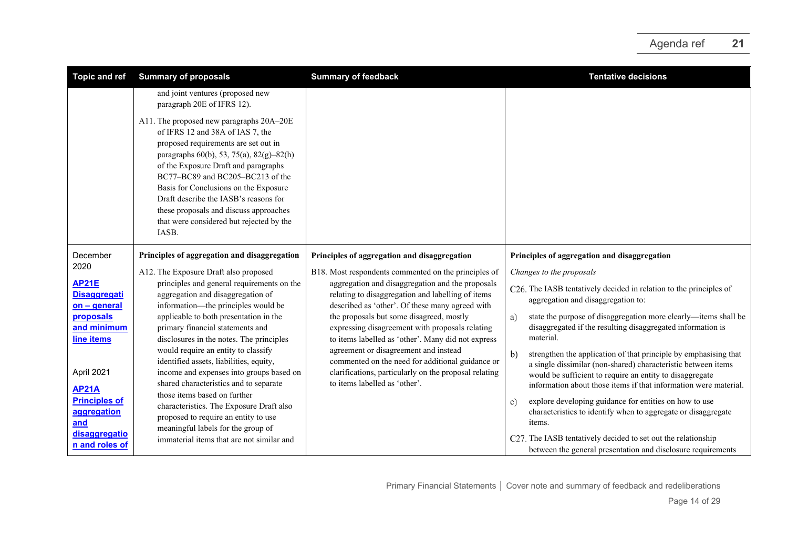| <b>Topic and ref</b>                                       | <b>Summary of proposals</b>                                                                                                                                                                                                                                                                                                                                                                                                      | <b>Summary of feedback</b>                                                                                                                                                          | <b>Tentative decisions</b>                                                                                                                                                                                                                                                        |
|------------------------------------------------------------|----------------------------------------------------------------------------------------------------------------------------------------------------------------------------------------------------------------------------------------------------------------------------------------------------------------------------------------------------------------------------------------------------------------------------------|-------------------------------------------------------------------------------------------------------------------------------------------------------------------------------------|-----------------------------------------------------------------------------------------------------------------------------------------------------------------------------------------------------------------------------------------------------------------------------------|
|                                                            | and joint ventures (proposed new<br>paragraph 20E of IFRS 12).                                                                                                                                                                                                                                                                                                                                                                   |                                                                                                                                                                                     |                                                                                                                                                                                                                                                                                   |
|                                                            | A11. The proposed new paragraphs 20A-20E<br>of IFRS 12 and 38A of IAS 7, the<br>proposed requirements are set out in<br>paragraphs $60(b)$ , 53, 75(a), 82(g)-82(h)<br>of the Exposure Draft and paragraphs<br>BC77-BC89 and BC205-BC213 of the<br>Basis for Conclusions on the Exposure<br>Draft describe the IASB's reasons for<br>these proposals and discuss approaches<br>that were considered but rejected by the<br>IASB. |                                                                                                                                                                                     |                                                                                                                                                                                                                                                                                   |
| December                                                   | Principles of aggregation and disaggregation                                                                                                                                                                                                                                                                                                                                                                                     | Principles of aggregation and disaggregation                                                                                                                                        | Principles of aggregation and disaggregation                                                                                                                                                                                                                                      |
| 2020                                                       | A12. The Exposure Draft also proposed                                                                                                                                                                                                                                                                                                                                                                                            | B18. Most respondents commented on the principles of                                                                                                                                | Changes to the proposals                                                                                                                                                                                                                                                          |
| <b>AP21E</b><br><b>Disaggregati</b><br>on - general        | principles and general requirements on the<br>aggregation and disaggregation of<br>information—the principles would be                                                                                                                                                                                                                                                                                                           | aggregation and disaggregation and the proposals<br>relating to disaggregation and labelling of items<br>described as 'other'. Of these many agreed with                            | C26. The IASB tentatively decided in relation to the principles of<br>aggregation and disaggregation to:                                                                                                                                                                          |
| proposals<br>and minimum<br>line items                     | applicable to both presentation in the<br>primary financial statements and<br>disclosures in the notes. The principles                                                                                                                                                                                                                                                                                                           | the proposals but some disagreed, mostly<br>expressing disagreement with proposals relating<br>to items labelled as 'other'. Many did not express                                   | state the purpose of disaggregation more clearly—items shall be<br>a)<br>disaggregated if the resulting disaggregated information is<br>material.                                                                                                                                 |
| April 2021                                                 | would require an entity to classify<br>identified assets, liabilities, equity,<br>income and expenses into groups based on<br>shared characteristics and to separate                                                                                                                                                                                                                                                             | agreement or disagreement and instead<br>commented on the need for additional guidance or<br>clarifications, particularly on the proposal relating<br>to items labelled as 'other'. | strengthen the application of that principle by emphasising that<br>$\mathbf{b}$<br>a single dissimilar (non-shared) characteristic between items<br>would be sufficient to require an entity to disaggregate<br>information about those items if that information were material. |
| <b>AP21A</b><br><b>Principles of</b><br>aggregation<br>and | those items based on further<br>characteristics. The Exposure Draft also<br>proposed to require an entity to use<br>meaningful labels for the group of                                                                                                                                                                                                                                                                           |                                                                                                                                                                                     | explore developing guidance for entities on how to use<br>c)<br>characteristics to identify when to aggregate or disaggregate<br>items.                                                                                                                                           |
| disaggregatio<br>n and roles of                            | immaterial items that are not similar and                                                                                                                                                                                                                                                                                                                                                                                        |                                                                                                                                                                                     | C27. The IASB tentatively decided to set out the relationship<br>between the general presentation and disclosure requirements                                                                                                                                                     |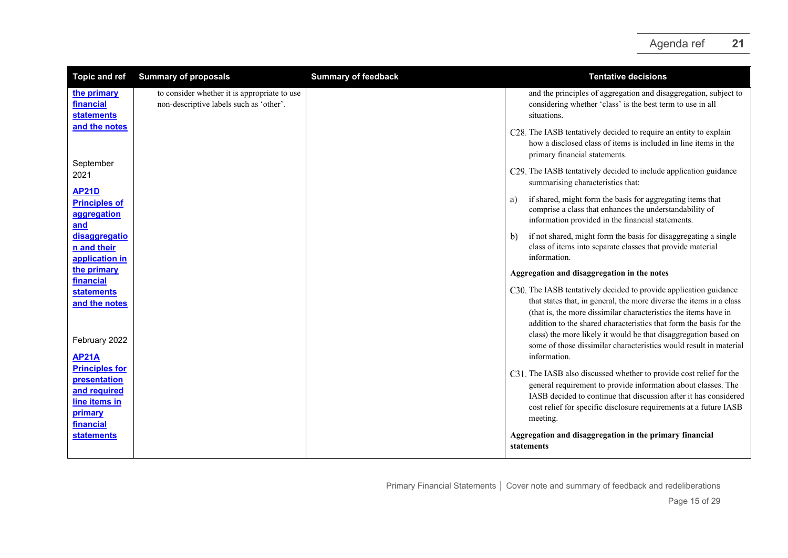| <b>Topic and ref</b>                                                                           | <b>Summary of proposals</b>                                                             | <b>Summary of feedback</b> | <b>Tentative decisions</b>                                                                                                                                                                                                                                                                                                                                                                                                |
|------------------------------------------------------------------------------------------------|-----------------------------------------------------------------------------------------|----------------------------|---------------------------------------------------------------------------------------------------------------------------------------------------------------------------------------------------------------------------------------------------------------------------------------------------------------------------------------------------------------------------------------------------------------------------|
| the primary<br>financial<br><b>statements</b>                                                  | to consider whether it is appropriate to use<br>non-descriptive labels such as 'other'. |                            | and the principles of aggregation and disaggregation, subject to<br>considering whether 'class' is the best term to use in all<br>situations.                                                                                                                                                                                                                                                                             |
| and the notes                                                                                  |                                                                                         |                            | C28. The IASB tentatively decided to require an entity to explain<br>how a disclosed class of items is included in line items in the<br>primary financial statements.                                                                                                                                                                                                                                                     |
| September<br>2021                                                                              |                                                                                         |                            | C29. The IASB tentatively decided to include application guidance<br>summarising characteristics that:                                                                                                                                                                                                                                                                                                                    |
| <b>AP21D</b><br><b>Principles of</b><br>aggregation<br>and                                     |                                                                                         |                            | if shared, might form the basis for aggregating items that<br>a)<br>comprise a class that enhances the understandability of<br>information provided in the financial statements.                                                                                                                                                                                                                                          |
| disaggregatio<br>n and their<br>application in                                                 |                                                                                         |                            | if not shared, might form the basis for disaggregating a single<br>b)<br>class of items into separate classes that provide material<br>information.                                                                                                                                                                                                                                                                       |
| the primary                                                                                    |                                                                                         |                            | Aggregation and disaggregation in the notes                                                                                                                                                                                                                                                                                                                                                                               |
| financial<br><b>statements</b><br>and the notes<br>February 2022                               |                                                                                         |                            | C30. The IASB tentatively decided to provide application guidance<br>that states that, in general, the more diverse the items in a class<br>(that is, the more dissimilar characteristics the items have in<br>addition to the shared characteristics that form the basis for the<br>class) the more likely it would be that disaggregation based on<br>some of those dissimilar characteristics would result in material |
| <b>AP21A</b>                                                                                   |                                                                                         |                            | information.                                                                                                                                                                                                                                                                                                                                                                                                              |
| <b>Principles for</b><br>presentation<br>and required<br>line items in<br>primary<br>financial |                                                                                         |                            | C31. The IASB also discussed whether to provide cost relief for the<br>general requirement to provide information about classes. The<br>IASB decided to continue that discussion after it has considered<br>cost relief for specific disclosure requirements at a future IASB<br>meeting.                                                                                                                                 |
| <b>statements</b>                                                                              |                                                                                         |                            | Aggregation and disaggregation in the primary financial<br>statements                                                                                                                                                                                                                                                                                                                                                     |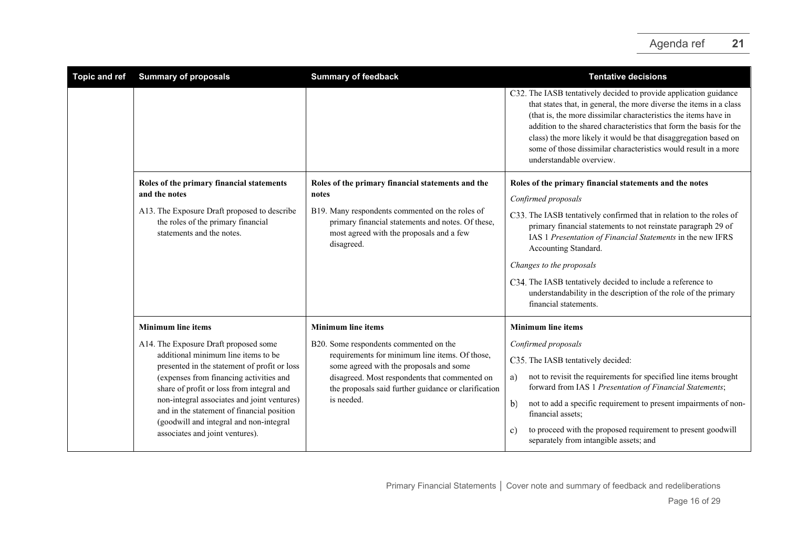| <b>Topic and ref</b> | <b>Summary of proposals</b>                                                                                                                                             | <b>Summary of feedback</b>                                                                                                                                     | <b>Tentative decisions</b>                                                                                                                                                                                                                                                                                                                                                                                                                          |
|----------------------|-------------------------------------------------------------------------------------------------------------------------------------------------------------------------|----------------------------------------------------------------------------------------------------------------------------------------------------------------|-----------------------------------------------------------------------------------------------------------------------------------------------------------------------------------------------------------------------------------------------------------------------------------------------------------------------------------------------------------------------------------------------------------------------------------------------------|
|                      |                                                                                                                                                                         |                                                                                                                                                                | C32. The IASB tentatively decided to provide application guidance<br>that states that, in general, the more diverse the items in a class<br>(that is, the more dissimilar characteristics the items have in<br>addition to the shared characteristics that form the basis for the<br>class) the more likely it would be that disaggregation based on<br>some of those dissimilar characteristics would result in a more<br>understandable overview. |
|                      | Roles of the primary financial statements<br>and the notes                                                                                                              | Roles of the primary financial statements and the<br>notes                                                                                                     | Roles of the primary financial statements and the notes<br>Confirmed proposals                                                                                                                                                                                                                                                                                                                                                                      |
|                      | A13. The Exposure Draft proposed to describe<br>the roles of the primary financial<br>statements and the notes.                                                         | B19. Many respondents commented on the roles of<br>primary financial statements and notes. Of these,<br>most agreed with the proposals and a few<br>disagreed. | C33. The IASB tentatively confirmed that in relation to the roles of<br>primary financial statements to not reinstate paragraph 29 of<br>IAS 1 Presentation of Financial Statements in the new IFRS<br>Accounting Standard.                                                                                                                                                                                                                         |
|                      |                                                                                                                                                                         |                                                                                                                                                                | Changes to the proposals                                                                                                                                                                                                                                                                                                                                                                                                                            |
|                      |                                                                                                                                                                         |                                                                                                                                                                | C34. The IASB tentatively decided to include a reference to<br>understandability in the description of the role of the primary<br>financial statements.                                                                                                                                                                                                                                                                                             |
|                      | <b>Minimum line items</b>                                                                                                                                               | <b>Minimum line items</b>                                                                                                                                      | <b>Minimum line items</b>                                                                                                                                                                                                                                                                                                                                                                                                                           |
|                      | A14. The Exposure Draft proposed some<br>additional minimum line items to be<br>presented in the statement of profit or loss                                            | B20. Some respondents commented on the                                                                                                                         | Confirmed proposals                                                                                                                                                                                                                                                                                                                                                                                                                                 |
|                      |                                                                                                                                                                         | requirements for minimum line items. Of those,<br>some agreed with the proposals and some                                                                      | C35. The IASB tentatively decided:                                                                                                                                                                                                                                                                                                                                                                                                                  |
|                      | (expenses from financing activities and<br>share of profit or loss from integral and                                                                                    | disagreed. Most respondents that commented on<br>the proposals said further guidance or clarification                                                          | not to revisit the requirements for specified line items brought<br>a)<br>forward from IAS 1 Presentation of Financial Statements;                                                                                                                                                                                                                                                                                                                  |
|                      | non-integral associates and joint ventures)<br>and in the statement of financial position<br>(goodwill and integral and non-integral<br>associates and joint ventures). | is needed.                                                                                                                                                     | not to add a specific requirement to present impairments of non-<br>b)<br>financial assets;                                                                                                                                                                                                                                                                                                                                                         |
|                      |                                                                                                                                                                         |                                                                                                                                                                | to proceed with the proposed requirement to present goodwill<br>C)<br>separately from intangible assets; and                                                                                                                                                                                                                                                                                                                                        |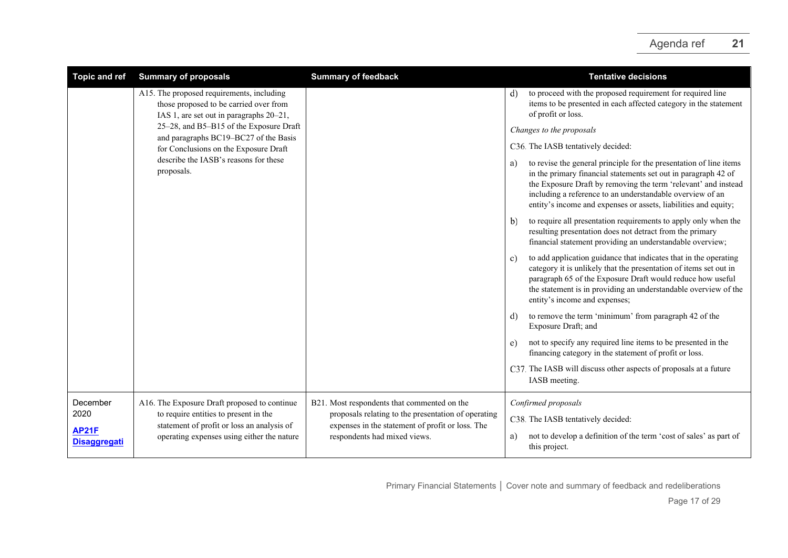| <b>Topic and ref</b>                | <b>Summary of proposals</b>                                                                                                       | <b>Summary of feedback</b>                                                                              | <b>Tentative decisions</b>                                                                                                                                                                                                                                                                                                                   |
|-------------------------------------|-----------------------------------------------------------------------------------------------------------------------------------|---------------------------------------------------------------------------------------------------------|----------------------------------------------------------------------------------------------------------------------------------------------------------------------------------------------------------------------------------------------------------------------------------------------------------------------------------------------|
|                                     | A15. The proposed requirements, including<br>those proposed to be carried over from                                               | IAS 1, are set out in paragraphs 20-21,                                                                 | to proceed with the proposed requirement for required line<br>d)<br>items to be presented in each affected category in the statement<br>of profit or loss.                                                                                                                                                                                   |
|                                     | 25-28, and B5-B15 of the Exposure Draft<br>and paragraphs BC19-BC27 of the Basis                                                  |                                                                                                         | Changes to the proposals                                                                                                                                                                                                                                                                                                                     |
|                                     | for Conclusions on the Exposure Draft                                                                                             |                                                                                                         | C36. The IASB tentatively decided:                                                                                                                                                                                                                                                                                                           |
|                                     | describe the IASB's reasons for these<br>proposals.                                                                               |                                                                                                         | to revise the general principle for the presentation of line items<br>a)<br>in the primary financial statements set out in paragraph 42 of<br>the Exposure Draft by removing the term 'relevant' and instead<br>including a reference to an understandable overview of an<br>entity's income and expenses or assets, liabilities and equity; |
|                                     |                                                                                                                                   |                                                                                                         | to require all presentation requirements to apply only when the<br>b)<br>resulting presentation does not detract from the primary<br>financial statement providing an understandable overview;                                                                                                                                               |
|                                     |                                                                                                                                   |                                                                                                         | to add application guidance that indicates that in the operating<br>c)<br>category it is unlikely that the presentation of items set out in<br>paragraph 65 of the Exposure Draft would reduce how useful<br>the statement is in providing an understandable overview of the<br>entity's income and expenses;                                |
|                                     |                                                                                                                                   |                                                                                                         | to remove the term 'minimum' from paragraph 42 of the<br>d)<br>Exposure Draft; and                                                                                                                                                                                                                                                           |
|                                     |                                                                                                                                   |                                                                                                         | not to specify any required line items to be presented in the<br>e)<br>financing category in the statement of profit or loss.                                                                                                                                                                                                                |
|                                     |                                                                                                                                   |                                                                                                         | C37. The IASB will discuss other aspects of proposals at a future<br>IASB meeting.                                                                                                                                                                                                                                                           |
| December                            | A16. The Exposure Draft proposed to continue                                                                                      | B21. Most respondents that commented on the                                                             | Confirmed proposals                                                                                                                                                                                                                                                                                                                          |
| 2020                                | to require entities to present in the<br>statement of profit or loss an analysis of<br>operating expenses using either the nature | proposals relating to the presentation of operating<br>expenses in the statement of profit or loss. The | C38. The IASB tentatively decided:                                                                                                                                                                                                                                                                                                           |
| <b>AP21F</b><br><b>Disaggregati</b> |                                                                                                                                   | respondents had mixed views.                                                                            | not to develop a definition of the term 'cost of sales' as part of<br>a)<br>this project.                                                                                                                                                                                                                                                    |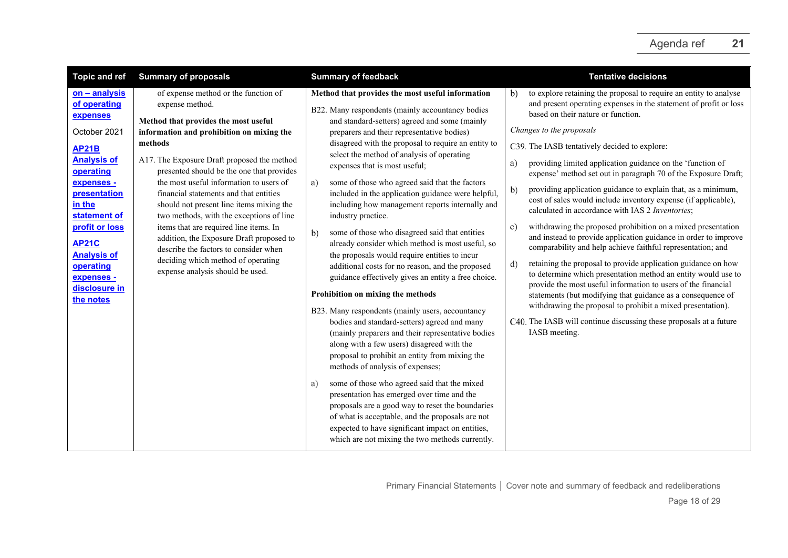| <b>Topic and ref</b>                                                                                                                                                                                                                                                                  | <b>Summary of proposals</b>                                                                                                                                                                                                                                                                                                                                                                                                                                                                                                                                                                                                               | <b>Summary of feedback</b>                                                                                                                                                                                                                                                                                                                                                                                                                                                                                                                                                                                                                                                                                                                                                                                                                                                                                                                                                                                                                                                                                                                                                                                                                                                                                                                                                                                                                                    | <b>Tentative decisions</b>                                                                                                                                                                                                                                                                                                                                                                                                                                                                                                                                                                                                                                                                                                                                                                                                                                                                                                                                                                                                                                                                                                                                                                                                               |
|---------------------------------------------------------------------------------------------------------------------------------------------------------------------------------------------------------------------------------------------------------------------------------------|-------------------------------------------------------------------------------------------------------------------------------------------------------------------------------------------------------------------------------------------------------------------------------------------------------------------------------------------------------------------------------------------------------------------------------------------------------------------------------------------------------------------------------------------------------------------------------------------------------------------------------------------|---------------------------------------------------------------------------------------------------------------------------------------------------------------------------------------------------------------------------------------------------------------------------------------------------------------------------------------------------------------------------------------------------------------------------------------------------------------------------------------------------------------------------------------------------------------------------------------------------------------------------------------------------------------------------------------------------------------------------------------------------------------------------------------------------------------------------------------------------------------------------------------------------------------------------------------------------------------------------------------------------------------------------------------------------------------------------------------------------------------------------------------------------------------------------------------------------------------------------------------------------------------------------------------------------------------------------------------------------------------------------------------------------------------------------------------------------------------|------------------------------------------------------------------------------------------------------------------------------------------------------------------------------------------------------------------------------------------------------------------------------------------------------------------------------------------------------------------------------------------------------------------------------------------------------------------------------------------------------------------------------------------------------------------------------------------------------------------------------------------------------------------------------------------------------------------------------------------------------------------------------------------------------------------------------------------------------------------------------------------------------------------------------------------------------------------------------------------------------------------------------------------------------------------------------------------------------------------------------------------------------------------------------------------------------------------------------------------|
| on - analysis<br>of operating<br>expenses<br>October 2021<br><b>AP21B</b><br><b>Analysis of</b><br>operating<br>expenses -<br>presentation<br>in the<br>statement of<br>profit or loss<br><b>AP21C</b><br><b>Analysis of</b><br>operating<br>expenses -<br>disclosure in<br>the notes | of expense method or the function of<br>expense method.<br>Method that provides the most useful<br>information and prohibition on mixing the<br>methods<br>A17. The Exposure Draft proposed the method<br>presented should be the one that provides<br>the most useful information to users of<br>financial statements and that entities<br>should not present line items mixing the<br>two methods, with the exceptions of line<br>items that are required line items. In<br>addition, the Exposure Draft proposed to<br>describe the factors to consider when<br>deciding which method of operating<br>expense analysis should be used. | Method that provides the most useful information<br>B22. Many respondents (mainly accountancy bodies<br>and standard-setters) agreed and some (mainly<br>preparers and their representative bodies)<br>disagreed with the proposal to require an entity to<br>select the method of analysis of operating<br>expenses that is most useful;<br>some of those who agreed said that the factors<br>a)<br>included in the application guidance were helpful,<br>including how management reports internally and<br>industry practice.<br>some of those who disagreed said that entities<br>b)<br>already consider which method is most useful, so<br>the proposals would require entities to incur<br>additional costs for no reason, and the proposed<br>guidance effectively gives an entity a free choice.<br>Prohibition on mixing the methods<br>B23. Many respondents (mainly users, accountancy<br>bodies and standard-setters) agreed and many<br>(mainly preparers and their representative bodies<br>along with a few users) disagreed with the<br>proposal to prohibit an entity from mixing the<br>methods of analysis of expenses;<br>some of those who agreed said that the mixed<br>a)<br>presentation has emerged over time and the<br>proposals are a good way to reset the boundaries<br>of what is acceptable, and the proposals are not<br>expected to have significant impact on entities,<br>which are not mixing the two methods currently. | to explore retaining the proposal to require an entity to analyse<br>b)<br>and present operating expenses in the statement of profit or loss<br>based on their nature or function.<br>Changes to the proposals<br>C39. The IASB tentatively decided to explore:<br>providing limited application guidance on the 'function of<br>a)<br>expense' method set out in paragraph 70 of the Exposure Draft;<br>providing application guidance to explain that, as a minimum,<br>b)<br>cost of sales would include inventory expense (if applicable),<br>calculated in accordance with IAS 2 Inventories;<br>withdrawing the proposed prohibition on a mixed presentation<br>c)<br>and instead to provide application guidance in order to improve<br>comparability and help achieve faithful representation; and<br>retaining the proposal to provide application guidance on how<br>d)<br>to determine which presentation method an entity would use to<br>provide the most useful information to users of the financial<br>statements (but modifying that guidance as a consequence of<br>withdrawing the proposal to prohibit a mixed presentation).<br>C40. The IASB will continue discussing these proposals at a future<br>IASB meeting. |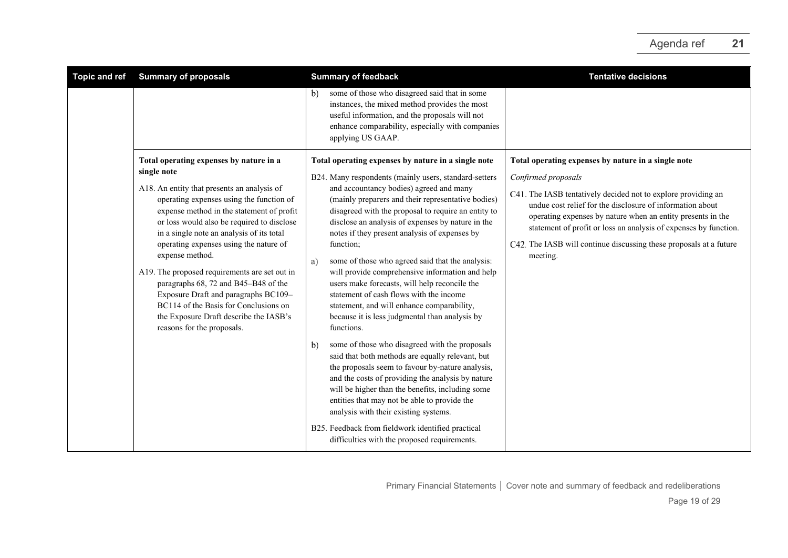| <b>Topic and ref</b> | <b>Summary of proposals</b>                                                                                                                                                                                                                                                                                                                                                                                                                                                                                                                                                                              | <b>Summary of feedback</b>                                                                                                                                                                                                                                                                                                                                                                                                                                                                                                                                                                                                                                                                                                                                                                                                                                                                                                                                                                                                                                                       | <b>Tentative decisions</b>                                                                                                                                                                                                                                                                                                                                                                                                    |
|----------------------|----------------------------------------------------------------------------------------------------------------------------------------------------------------------------------------------------------------------------------------------------------------------------------------------------------------------------------------------------------------------------------------------------------------------------------------------------------------------------------------------------------------------------------------------------------------------------------------------------------|----------------------------------------------------------------------------------------------------------------------------------------------------------------------------------------------------------------------------------------------------------------------------------------------------------------------------------------------------------------------------------------------------------------------------------------------------------------------------------------------------------------------------------------------------------------------------------------------------------------------------------------------------------------------------------------------------------------------------------------------------------------------------------------------------------------------------------------------------------------------------------------------------------------------------------------------------------------------------------------------------------------------------------------------------------------------------------|-------------------------------------------------------------------------------------------------------------------------------------------------------------------------------------------------------------------------------------------------------------------------------------------------------------------------------------------------------------------------------------------------------------------------------|
|                      |                                                                                                                                                                                                                                                                                                                                                                                                                                                                                                                                                                                                          | some of those who disagreed said that in some<br>b)<br>instances, the mixed method provides the most<br>useful information, and the proposals will not<br>enhance comparability, especially with companies<br>applying US GAAP.                                                                                                                                                                                                                                                                                                                                                                                                                                                                                                                                                                                                                                                                                                                                                                                                                                                  |                                                                                                                                                                                                                                                                                                                                                                                                                               |
|                      | Total operating expenses by nature in a<br>single note<br>A18. An entity that presents an analysis of<br>operating expenses using the function of<br>expense method in the statement of profit<br>or loss would also be required to disclose<br>in a single note an analysis of its total<br>operating expenses using the nature of<br>expense method.<br>A19. The proposed requirements are set out in<br>paragraphs 68, 72 and B45-B48 of the<br>Exposure Draft and paragraphs BC109-<br>BC114 of the Basis for Conclusions on<br>the Exposure Draft describe the IASB's<br>reasons for the proposals. | Total operating expenses by nature in a single note<br>B24. Many respondents (mainly users, standard-setters<br>and accountancy bodies) agreed and many<br>(mainly preparers and their representative bodies)<br>disagreed with the proposal to require an entity to<br>disclose an analysis of expenses by nature in the<br>notes if they present analysis of expenses by<br>function;<br>some of those who agreed said that the analysis:<br>a)<br>will provide comprehensive information and help<br>users make forecasts, will help reconcile the<br>statement of cash flows with the income<br>statement, and will enhance comparability,<br>because it is less judgmental than analysis by<br>functions.<br>some of those who disagreed with the proposals<br>b)<br>said that both methods are equally relevant, but<br>the proposals seem to favour by-nature analysis,<br>and the costs of providing the analysis by nature<br>will be higher than the benefits, including some<br>entities that may not be able to provide the<br>analysis with their existing systems. | Total operating expenses by nature in a single note<br>Confirmed proposals<br>C41. The IASB tentatively decided not to explore providing an<br>undue cost relief for the disclosure of information about<br>operating expenses by nature when an entity presents in the<br>statement of profit or loss an analysis of expenses by function.<br>C42. The IASB will continue discussing these proposals at a future<br>meeting. |
|                      |                                                                                                                                                                                                                                                                                                                                                                                                                                                                                                                                                                                                          | B25. Feedback from fieldwork identified practical<br>difficulties with the proposed requirements.                                                                                                                                                                                                                                                                                                                                                                                                                                                                                                                                                                                                                                                                                                                                                                                                                                                                                                                                                                                |                                                                                                                                                                                                                                                                                                                                                                                                                               |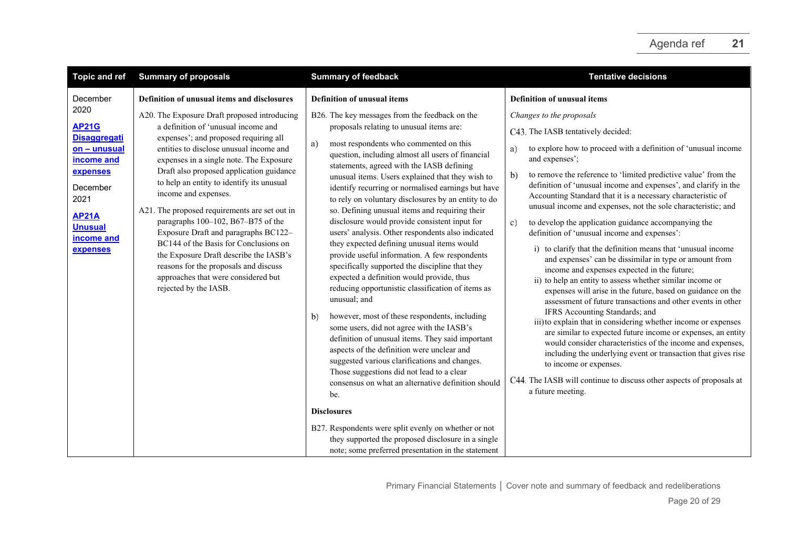| <b>Topic and ref</b>                                                                                                                                                              | <b>Summary of proposals</b>                                                                                                                                                                                                                                                                                                                                                                                                                                                                                                                                                                          | <b>Summary of feedback</b>                                                                                                                                                                                                                                                                                                                                                                                                                                                                                                                                                                                                                                                                                                                                                    | <b>Tentative decisions</b>                                                                                                                                                                                                                                                                                                                                                                                                                                                                                                                                                                                                                                                                                                 |
|-----------------------------------------------------------------------------------------------------------------------------------------------------------------------------------|------------------------------------------------------------------------------------------------------------------------------------------------------------------------------------------------------------------------------------------------------------------------------------------------------------------------------------------------------------------------------------------------------------------------------------------------------------------------------------------------------------------------------------------------------------------------------------------------------|-------------------------------------------------------------------------------------------------------------------------------------------------------------------------------------------------------------------------------------------------------------------------------------------------------------------------------------------------------------------------------------------------------------------------------------------------------------------------------------------------------------------------------------------------------------------------------------------------------------------------------------------------------------------------------------------------------------------------------------------------------------------------------|----------------------------------------------------------------------------------------------------------------------------------------------------------------------------------------------------------------------------------------------------------------------------------------------------------------------------------------------------------------------------------------------------------------------------------------------------------------------------------------------------------------------------------------------------------------------------------------------------------------------------------------------------------------------------------------------------------------------------|
| December<br>2020<br><b>AP21G</b><br><b>Disaggregati</b><br>on - unusual<br>income and<br>expenses<br>December<br>2021<br><b>AP21A</b><br><b>Unusual</b><br>income and<br>expenses | Definition of unusual items and disclosures<br>A20. The Exposure Draft proposed introducing<br>a definition of 'unusual income and<br>expenses'; and proposed requiring all<br>entities to disclose unusual income and<br>expenses in a single note. The Exposure<br>Draft also proposed application guidance<br>to help an entity to identify its unusual<br>income and expenses.<br>A21. The proposed requirements are set out in<br>paragraphs 100-102, B67-B75 of the<br>Exposure Draft and paragraphs BC122-<br>BC144 of the Basis for Conclusions on<br>the Exposure Draft describe the IASB's | <b>Definition of unusual items</b><br>B26. The key messages from the feedback on the<br>proposals relating to unusual items are:<br>most respondents who commented on this<br>a)<br>question, including almost all users of financial<br>statements, agreed with the IASB defining<br>unusual items. Users explained that they wish to<br>identify recurring or normalised earnings but have<br>to rely on voluntary disclosures by an entity to do<br>so. Defining unusual items and requiring their<br>disclosure would provide consistent input for<br>users' analysis. Other respondents also indicated<br>they expected defining unusual items would                                                                                                                     | <b>Definition of unusual items</b><br>Changes to the proposals<br>C43. The IASB tentatively decided:<br>to explore how to proceed with a definition of 'unusual income<br>a)<br>and expenses';<br>to remove the reference to 'limited predictive value' from the<br>b)<br>definition of 'unusual income and expenses', and clarify in the<br>Accounting Standard that it is a necessary characteristic of<br>unusual income and expenses, not the sole characteristic; and<br>to develop the application guidance accompanying the<br>$\mathbf{c}$ )<br>definition of 'unusual income and expenses':<br>i) to clarify that the definition means that 'unusual income                                                       |
|                                                                                                                                                                                   | reasons for the proposals and discuss<br>approaches that were considered but<br>rejected by the IASB.                                                                                                                                                                                                                                                                                                                                                                                                                                                                                                | provide useful information. A few respondents<br>specifically supported the discipline that they<br>expected a definition would provide, thus<br>reducing opportunistic classification of items as<br>unusual; and<br>however, most of these respondents, including<br>b)<br>some users, did not agree with the IASB's<br>definition of unusual items. They said important<br>aspects of the definition were unclear and<br>suggested various clarifications and changes.<br>Those suggestions did not lead to a clear<br>consensus on what an alternative definition should<br>be.<br><b>Disclosures</b><br>B27. Respondents were split evenly on whether or not<br>they supported the proposed disclosure in a single<br>note; some preferred presentation in the statement | and expenses' can be dissimilar in type or amount from<br>income and expenses expected in the future;<br>ii) to help an entity to assess whether similar income or<br>expenses will arise in the future, based on guidance on the<br>assessment of future transactions and other events in other<br>IFRS Accounting Standards; and<br>iii) to explain that in considering whether income or expenses<br>are similar to expected future income or expenses, an entity<br>would consider characteristics of the income and expenses,<br>including the underlying event or transaction that gives rise<br>to income or expenses.<br>C44. The IASB will continue to discuss other aspects of proposals at<br>a future meeting. |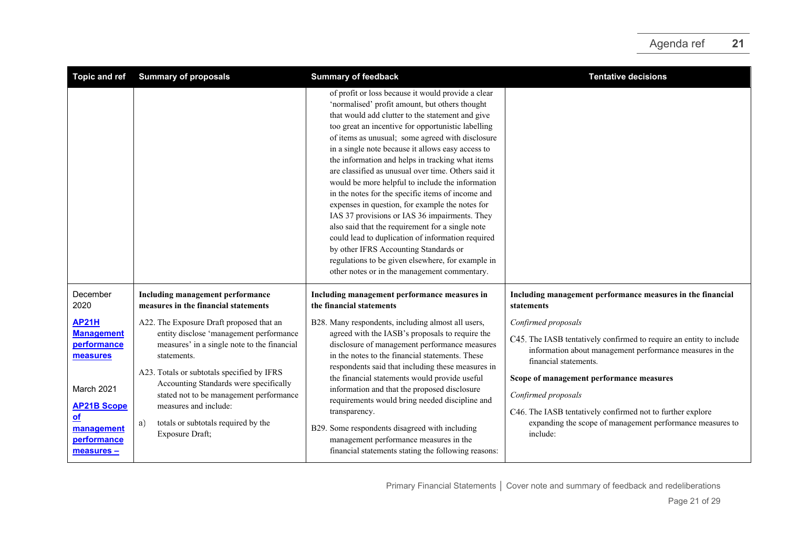| Topic and ref                                                                                                                                       | <b>Summary of proposals</b>                                                                                                                                                                                                                                                                                                                                                   | <b>Summary of feedback</b>                                                                                                                                                                                                                                                                                                                                                                                                                                                                                                                                                                                                                                                                                                                                                                                                                                                                             | <b>Tentative decisions</b>                                                                                                                                                                                                                                                                                                                                                                |
|-----------------------------------------------------------------------------------------------------------------------------------------------------|-------------------------------------------------------------------------------------------------------------------------------------------------------------------------------------------------------------------------------------------------------------------------------------------------------------------------------------------------------------------------------|--------------------------------------------------------------------------------------------------------------------------------------------------------------------------------------------------------------------------------------------------------------------------------------------------------------------------------------------------------------------------------------------------------------------------------------------------------------------------------------------------------------------------------------------------------------------------------------------------------------------------------------------------------------------------------------------------------------------------------------------------------------------------------------------------------------------------------------------------------------------------------------------------------|-------------------------------------------------------------------------------------------------------------------------------------------------------------------------------------------------------------------------------------------------------------------------------------------------------------------------------------------------------------------------------------------|
|                                                                                                                                                     |                                                                                                                                                                                                                                                                                                                                                                               | of profit or loss because it would provide a clear<br>'normalised' profit amount, but others thought<br>that would add clutter to the statement and give<br>too great an incentive for opportunistic labelling<br>of items as unusual; some agreed with disclosure<br>in a single note because it allows easy access to<br>the information and helps in tracking what items<br>are classified as unusual over time. Others said it<br>would be more helpful to include the information<br>in the notes for the specific items of income and<br>expenses in question, for example the notes for<br>IAS 37 provisions or IAS 36 impairments. They<br>also said that the requirement for a single note<br>could lead to duplication of information required<br>by other IFRS Accounting Standards or<br>regulations to be given elsewhere, for example in<br>other notes or in the management commentary. |                                                                                                                                                                                                                                                                                                                                                                                           |
| December<br>2020                                                                                                                                    | Including management performance<br>measures in the financial statements                                                                                                                                                                                                                                                                                                      | Including management performance measures in<br>the financial statements                                                                                                                                                                                                                                                                                                                                                                                                                                                                                                                                                                                                                                                                                                                                                                                                                               | Including management performance measures in the financial<br>statements                                                                                                                                                                                                                                                                                                                  |
| <b>AP21H</b><br><b>Management</b><br>performance<br>measures<br>March 2021<br><b>AP21B Scope</b><br>$of$<br>management<br>performance<br>measures - | A22. The Exposure Draft proposed that an<br>entity disclose 'management performance<br>measures' in a single note to the financial<br>statements.<br>A23. Totals or subtotals specified by IFRS<br>Accounting Standards were specifically<br>stated not to be management performance<br>measures and include:<br>totals or subtotals required by the<br>a)<br>Exposure Draft; | B28. Many respondents, including almost all users,<br>agreed with the IASB's proposals to require the<br>disclosure of management performance measures<br>in the notes to the financial statements. These<br>respondents said that including these measures in<br>the financial statements would provide useful<br>information and that the proposed disclosure<br>requirements would bring needed discipline and<br>transparency.<br>B29. Some respondents disagreed with including<br>management performance measures in the<br>financial statements stating the following reasons:                                                                                                                                                                                                                                                                                                                  | Confirmed proposals<br>C45. The IASB tentatively confirmed to require an entity to include<br>information about management performance measures in the<br>financial statements.<br>Scope of management performance measures<br>Confirmed proposals<br>C46. The IASB tentatively confirmed not to further explore<br>expanding the scope of management performance measures to<br>include: |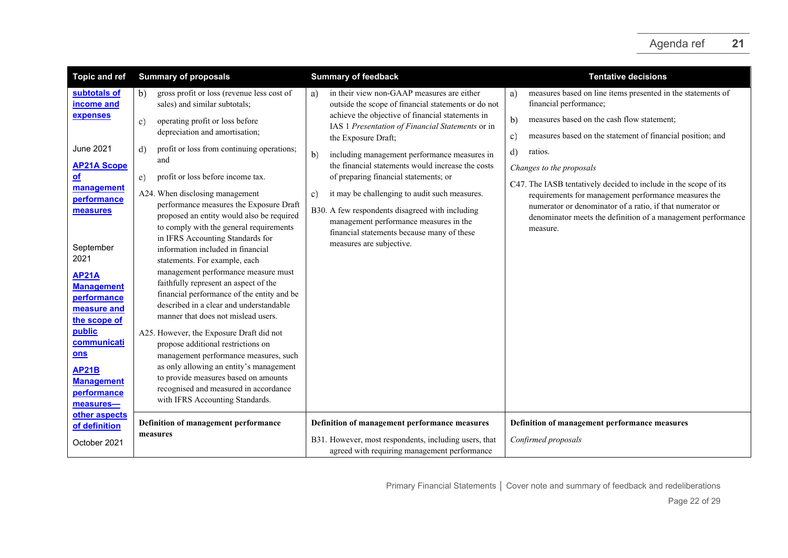| <b>Topic and ref</b>                                                                                                                                    | <b>Summary of proposals</b>                                                                                                                                                                                                                                                                                                                                                                                                                                                                  | <b>Summary of feedback</b>                                                                                                                                                                                                 | <b>Tentative decisions</b>                                                                                                                                                                    |
|---------------------------------------------------------------------------------------------------------------------------------------------------------|----------------------------------------------------------------------------------------------------------------------------------------------------------------------------------------------------------------------------------------------------------------------------------------------------------------------------------------------------------------------------------------------------------------------------------------------------------------------------------------------|----------------------------------------------------------------------------------------------------------------------------------------------------------------------------------------------------------------------------|-----------------------------------------------------------------------------------------------------------------------------------------------------------------------------------------------|
| subtotals of<br>income and                                                                                                                              | gross profit or loss (revenue less cost of<br>b)<br>sales) and similar subtotals;                                                                                                                                                                                                                                                                                                                                                                                                            | in their view non-GAAP measures are either<br>a)<br>outside the scope of financial statements or do not                                                                                                                    | measures based on line items presented in the statements of<br>a)<br>financial performance;                                                                                                   |
| expenses                                                                                                                                                | operating profit or loss before<br>C)<br>depreciation and amortisation;                                                                                                                                                                                                                                                                                                                                                                                                                      | achieve the objective of financial statements in<br>IAS 1 Presentation of Financial Statements or in<br>the Exposure Draft;                                                                                                | b)<br>measures based on the cash flow statement;<br>measures based on the statement of financial position; and<br>c)                                                                          |
| June 2021<br><b>AP21A Scope</b><br>оf                                                                                                                   | profit or loss from continuing operations;<br>d)<br>and<br>profit or loss before income tax.<br>e)                                                                                                                                                                                                                                                                                                                                                                                           | b)<br>including management performance measures in<br>the financial statements would increase the costs<br>of preparing financial statements; or                                                                           | d)<br>ratios.<br>Changes to the proposals<br>C47. The IASB tentatively decided to include in the scope of its                                                                                 |
| management<br>performance<br>measures<br>September<br>2021<br><b>AP21A</b><br><b>Management</b><br>performance<br>measure and<br>the scope of<br>public | A24. When disclosing management<br>performance measures the Exposure Draft<br>proposed an entity would also be required<br>to comply with the general requirements<br>in IFRS Accounting Standards for<br>information included in financial<br>statements. For example, each<br>management performance measure must<br>faithfully represent an aspect of the<br>financial performance of the entity and be<br>described in a clear and understandable<br>manner that does not mislead users. | it may be challenging to audit such measures.<br>c)<br>B30. A few respondents disagreed with including<br>management performance measures in the<br>financial statements because many of these<br>measures are subjective. | requirements for management performance measures the<br>numerator or denominator of a ratio, if that numerator or<br>denominator meets the definition of a management performance<br>measure. |
| communicati<br>ons<br><b>AP21B</b><br><b>Management</b><br>performance<br>measures-                                                                     | A25. However, the Exposure Draft did not<br>propose additional restrictions on<br>management performance measures, such<br>as only allowing an entity's management<br>to provide measures based on amounts<br>recognised and measured in accordance<br>with IFRS Accounting Standards.                                                                                                                                                                                                       |                                                                                                                                                                                                                            |                                                                                                                                                                                               |
| other aspects<br>of definition<br>October 2021                                                                                                          | Definition of management performance<br>measures                                                                                                                                                                                                                                                                                                                                                                                                                                             | Definition of management performance measures<br>B31. However, most respondents, including users, that<br>agreed with requiring management performance                                                                     | Definition of management performance measures<br>Confirmed proposals                                                                                                                          |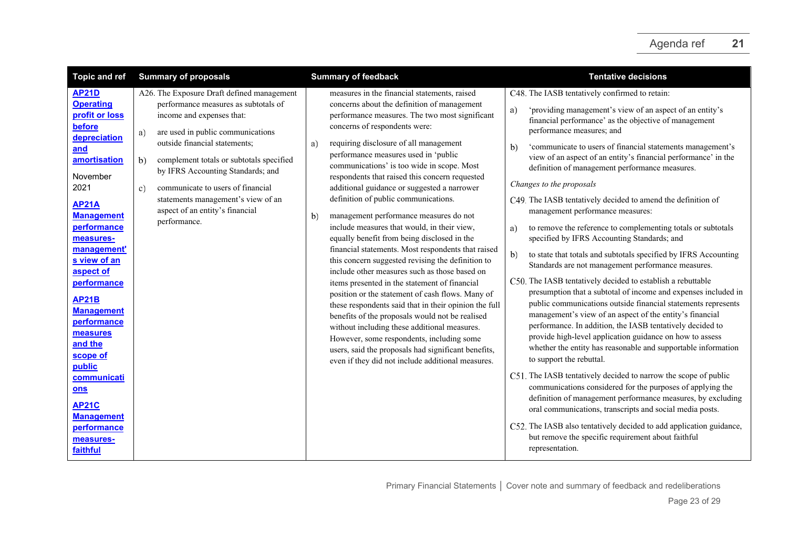| <b>Topic and ref</b>                                                                                                                                                                                                                                                                                                                                                                                                                                    | <b>Summary of proposals</b>                                                                                                                                                                                                                                                                                                                                                                                                      | <b>Summary of feedback</b>                                                                                                                                                                                                                                                                                                                                                                                                                                                                                                                                                                                                                                                                                                                                                                                                                                                                                                                                                                                                                                                                                                                                                                        | <b>Tentative decisions</b>                                                                                                                                                                                                                                                                                                                                                                                                                                                                                                                                                                                                                                                                                                                                                                                                                                                                                                                                                                                                                                                                                                                                                                                                                                                                                                                                                                                                                                                                                                                                                                                                                                                                   |
|---------------------------------------------------------------------------------------------------------------------------------------------------------------------------------------------------------------------------------------------------------------------------------------------------------------------------------------------------------------------------------------------------------------------------------------------------------|----------------------------------------------------------------------------------------------------------------------------------------------------------------------------------------------------------------------------------------------------------------------------------------------------------------------------------------------------------------------------------------------------------------------------------|---------------------------------------------------------------------------------------------------------------------------------------------------------------------------------------------------------------------------------------------------------------------------------------------------------------------------------------------------------------------------------------------------------------------------------------------------------------------------------------------------------------------------------------------------------------------------------------------------------------------------------------------------------------------------------------------------------------------------------------------------------------------------------------------------------------------------------------------------------------------------------------------------------------------------------------------------------------------------------------------------------------------------------------------------------------------------------------------------------------------------------------------------------------------------------------------------|----------------------------------------------------------------------------------------------------------------------------------------------------------------------------------------------------------------------------------------------------------------------------------------------------------------------------------------------------------------------------------------------------------------------------------------------------------------------------------------------------------------------------------------------------------------------------------------------------------------------------------------------------------------------------------------------------------------------------------------------------------------------------------------------------------------------------------------------------------------------------------------------------------------------------------------------------------------------------------------------------------------------------------------------------------------------------------------------------------------------------------------------------------------------------------------------------------------------------------------------------------------------------------------------------------------------------------------------------------------------------------------------------------------------------------------------------------------------------------------------------------------------------------------------------------------------------------------------------------------------------------------------------------------------------------------------|
| <b>AP21D</b><br><b>Operating</b><br>profit or loss<br>before<br>depreciation<br>and<br>amortisation<br>November<br>2021<br><b>AP21A</b><br><b>Management</b><br>performance<br>measures-<br>management'<br>s view of an<br>aspect of<br>performance<br><b>AP21B</b><br><b>Management</b><br>performance<br>measures<br>and the<br>scope of<br>public<br>communicati<br>ons<br><b>AP21C</b><br><b>Management</b><br>performance<br>measures-<br>faithful | A26. The Exposure Draft defined management<br>performance measures as subtotals of<br>income and expenses that:<br>are used in public communications<br>a)<br>outside financial statements;<br>complement totals or subtotals specified<br>b)<br>by IFRS Accounting Standards; and<br>communicate to users of financial<br>$\mathbf{c}$<br>statements management's view of an<br>aspect of an entity's financial<br>performance. | measures in the financial statements, raised<br>concerns about the definition of management<br>performance measures. The two most significant<br>concerns of respondents were:<br>requiring disclosure of all management<br>a)<br>performance measures used in 'public<br>communications' is too wide in scope. Most<br>respondents that raised this concern requested<br>additional guidance or suggested a narrower<br>definition of public communications.<br>management performance measures do not<br>b)<br>include measures that would, in their view,<br>equally benefit from being disclosed in the<br>financial statements. Most respondents that raised<br>this concern suggested revising the definition to<br>include other measures such as those based on<br>items presented in the statement of financial<br>position or the statement of cash flows. Many of<br>these respondents said that in their opinion the full<br>benefits of the proposals would not be realised<br>without including these additional measures.<br>However, some respondents, including some<br>users, said the proposals had significant benefits,<br>even if they did not include additional measures. | C48. The IASB tentatively confirmed to retain:<br>'providing management's view of an aspect of an entity's<br>a)<br>financial performance' as the objective of management<br>performance measures; and<br>'communicate to users of financial statements management's<br>$\mathbf{b}$<br>view of an aspect of an entity's financial performance' in the<br>definition of management performance measures.<br>Changes to the proposals<br>C49. The IASB tentatively decided to amend the definition of<br>management performance measures:<br>to remove the reference to complementing totals or subtotals<br>a)<br>specified by IFRS Accounting Standards; and<br>b)<br>to state that totals and subtotals specified by IFRS Accounting<br>Standards are not management performance measures.<br>C50. The IASB tentatively decided to establish a rebuttable<br>presumption that a subtotal of income and expenses included in<br>public communications outside financial statements represents<br>management's view of an aspect of the entity's financial<br>performance. In addition, the IASB tentatively decided to<br>provide high-level application guidance on how to assess<br>whether the entity has reasonable and supportable information<br>to support the rebuttal.<br>C51. The IASB tentatively decided to narrow the scope of public<br>communications considered for the purposes of applying the<br>definition of management performance measures, by excluding<br>oral communications, transcripts and social media posts.<br>C52. The IASB also tentatively decided to add application guidance,<br>but remove the specific requirement about faithful<br>representation. |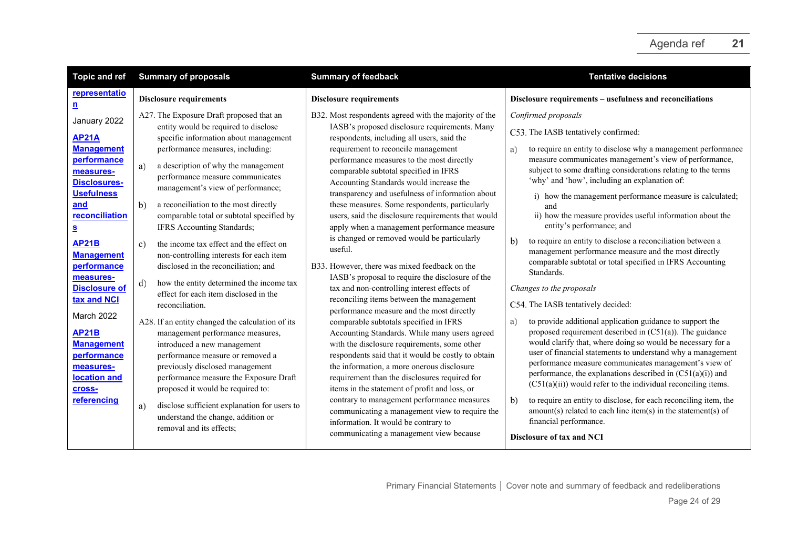<span id="page-23-2"></span><span id="page-23-1"></span><span id="page-23-0"></span>

| <b>Topic and ref</b>                                                                                  | <b>Summary of proposals</b>                                                                                                                                                                                                                                               | <b>Summary of feedback</b>                                                                                                                                                                                                                                                                                                                    | <b>Tentative decisions</b>                                                                                                                                                                                                                                                                                                                                                                                                                               |
|-------------------------------------------------------------------------------------------------------|---------------------------------------------------------------------------------------------------------------------------------------------------------------------------------------------------------------------------------------------------------------------------|-----------------------------------------------------------------------------------------------------------------------------------------------------------------------------------------------------------------------------------------------------------------------------------------------------------------------------------------------|----------------------------------------------------------------------------------------------------------------------------------------------------------------------------------------------------------------------------------------------------------------------------------------------------------------------------------------------------------------------------------------------------------------------------------------------------------|
| representatio<br>$\mathbf{n}$                                                                         | <b>Disclosure requirements</b>                                                                                                                                                                                                                                            | <b>Disclosure requirements</b>                                                                                                                                                                                                                                                                                                                | Disclosure requirements - usefulness and reconciliations                                                                                                                                                                                                                                                                                                                                                                                                 |
| January 2022<br><b>AP21A</b>                                                                          | A27. The Exposure Draft proposed that an<br>entity would be required to disclose<br>specific information about management                                                                                                                                                 | B32. Most respondents agreed with the majority of the<br>IASB's proposed disclosure requirements. Many<br>respondents, including all users, said the                                                                                                                                                                                          | Confirmed proposals<br>C53. The IASB tentatively confirmed:                                                                                                                                                                                                                                                                                                                                                                                              |
| <b>Management</b><br><b>performance</b><br>measures-<br><b>Disclosures-</b>                           | performance measures, including:<br>a)<br>a description of why the management<br>performance measure communicates<br>management's view of performance;                                                                                                                    | requirement to reconcile management<br>performance measures to the most directly<br>comparable subtotal specified in IFRS<br>Accounting Standards would increase the                                                                                                                                                                          | to require an entity to disclose why a management performance<br>a)<br>measure communicates management's view of performance,<br>subject to some drafting considerations relating to the terms<br>'why' and 'how', including an explanation of:                                                                                                                                                                                                          |
| <b>Usefulness</b><br>and<br>reconciliation<br>$\overline{\mathbf{S}}$                                 | b)<br>a reconciliation to the most directly<br>comparable total or subtotal specified by<br>IFRS Accounting Standards;                                                                                                                                                    | transparency and usefulness of information about<br>these measures. Some respondents, particularly<br>users, said the disclosure requirements that would<br>apply when a management performance measure                                                                                                                                       | i) how the management performance measure is calculated;<br>and<br>ii) how the measure provides useful information about the<br>entity's performance; and                                                                                                                                                                                                                                                                                                |
| <b>AP21B</b><br><b>Management</b><br>performance<br>measures-                                         | the income tax effect and the effect on<br>$\mathbf{c}$<br>non-controlling interests for each item<br>disclosed in the reconciliation; and                                                                                                                                | is changed or removed would be particularly<br>useful.<br>B33. However, there was mixed feedback on the<br>IASB's proposal to require the disclosure of the                                                                                                                                                                                   | to require an entity to disclose a reconciliation between a<br>b)<br>management performance measure and the most directly<br>comparable subtotal or total specified in IFRS Accounting<br>Standards.                                                                                                                                                                                                                                                     |
| <b>Disclosure of</b><br>tax and NCI                                                                   | how the entity determined the income tax<br>d)<br>effect for each item disclosed in the<br>reconciliation.                                                                                                                                                                | tax and non-controlling interest effects of<br>reconciling items between the management<br>performance measure and the most directly                                                                                                                                                                                                          | Changes to the proposals<br>C54. The IASB tentatively decided:                                                                                                                                                                                                                                                                                                                                                                                           |
| March 2022<br><b>AP21B</b><br><b>Management</b><br>performance<br>measures-<br>location and<br>cross- | A28. If an entity changed the calculation of its<br>management performance measures,<br>introduced a new management<br>performance measure or removed a<br>previously disclosed management<br>performance measure the Exposure Draft<br>proposed it would be required to: | comparable subtotals specified in IFRS<br>Accounting Standards. While many users agreed<br>with the disclosure requirements, some other<br>respondents said that it would be costly to obtain<br>the information, a more onerous disclosure<br>requirement than the disclosures required for<br>items in the statement of profit and loss, or | to provide additional application guidance to support the<br>a)<br>proposed requirement described in $(C51(a))$ . The guidance<br>would clarify that, where doing so would be necessary for a<br>user of financial statements to understand why a management<br>performance measure communicates management's view of<br>performance, the explanations described in $(C51(a)(i))$ and<br>$(C51(a)(ii))$ would refer to the individual reconciling items. |
| referencing                                                                                           | disclose sufficient explanation for users to<br>a)<br>understand the change, addition or<br>removal and its effects;                                                                                                                                                      | contrary to management performance measures<br>communicating a management view to require the<br>information. It would be contrary to<br>communicating a management view because                                                                                                                                                              | to require an entity to disclose, for each reconciling item, the<br>b)<br>$amount(s)$ related to each line item(s) in the statement(s) of<br>financial performance.<br><b>Disclosure of tax and NCI</b>                                                                                                                                                                                                                                                  |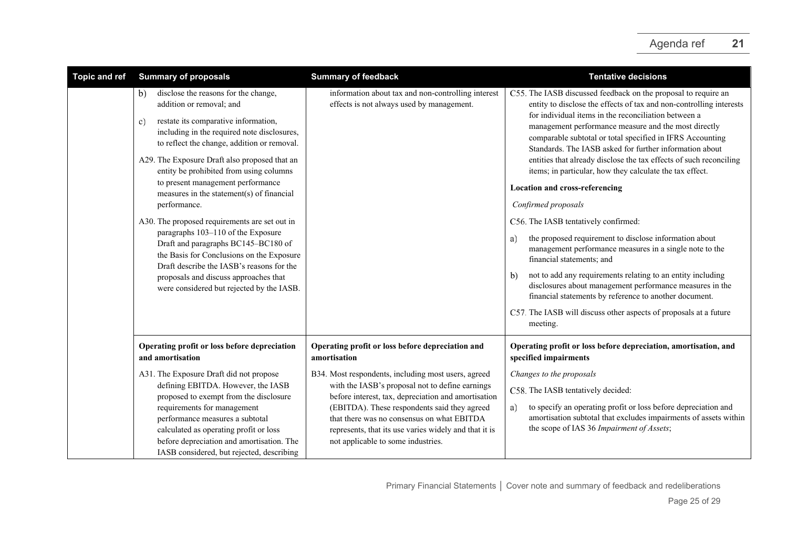| <b>Topic and ref</b> | <b>Summary of proposals</b>                                                                                                                                                                                                                                                                                                                                                                                                                                                                                                                                                                                                                                                                                                    | <b>Summary of feedback</b>                                                                                                                                                                                                                                                                                                                                 | <b>Tentative decisions</b>                                                                                                                                                                                                                                                                                                                                                                                                                                                                                                                                                                                                                                                                                                                                                                                                                                                                                                                                                                                                                                            |
|----------------------|--------------------------------------------------------------------------------------------------------------------------------------------------------------------------------------------------------------------------------------------------------------------------------------------------------------------------------------------------------------------------------------------------------------------------------------------------------------------------------------------------------------------------------------------------------------------------------------------------------------------------------------------------------------------------------------------------------------------------------|------------------------------------------------------------------------------------------------------------------------------------------------------------------------------------------------------------------------------------------------------------------------------------------------------------------------------------------------------------|-----------------------------------------------------------------------------------------------------------------------------------------------------------------------------------------------------------------------------------------------------------------------------------------------------------------------------------------------------------------------------------------------------------------------------------------------------------------------------------------------------------------------------------------------------------------------------------------------------------------------------------------------------------------------------------------------------------------------------------------------------------------------------------------------------------------------------------------------------------------------------------------------------------------------------------------------------------------------------------------------------------------------------------------------------------------------|
|                      | disclose the reasons for the change,<br>b)<br>addition or removal; and<br>restate its comparative information,<br>C)<br>including in the required note disclosures,<br>to reflect the change, addition or removal.<br>A29. The Exposure Draft also proposed that an<br>entity be prohibited from using columns<br>to present management performance<br>measures in the statement(s) of financial<br>performance.<br>A30. The proposed requirements are set out in<br>paragraphs 103-110 of the Exposure<br>Draft and paragraphs BC145-BC180 of<br>the Basis for Conclusions on the Exposure<br>Draft describe the IASB's reasons for the<br>proposals and discuss approaches that<br>were considered but rejected by the IASB. | information about tax and non-controlling interest<br>effects is not always used by management.                                                                                                                                                                                                                                                            | C55. The IASB discussed feedback on the proposal to require an<br>entity to disclose the effects of tax and non-controlling interests<br>for individual items in the reconciliation between a<br>management performance measure and the most directly<br>comparable subtotal or total specified in IFRS Accounting<br>Standards. The IASB asked for further information about<br>entities that already disclose the tax effects of such reconciling<br>items; in particular, how they calculate the tax effect.<br><b>Location and cross-referencing</b><br>Confirmed proposals<br>C56. The IASB tentatively confirmed:<br>the proposed requirement to disclose information about<br>a)<br>management performance measures in a single note to the<br>financial statements; and<br>not to add any requirements relating to an entity including<br>$\mathbf{b}$<br>disclosures about management performance measures in the<br>financial statements by reference to another document.<br>C57. The IASB will discuss other aspects of proposals at a future<br>meeting. |
|                      | Operating profit or loss before depreciation<br>and amortisation                                                                                                                                                                                                                                                                                                                                                                                                                                                                                                                                                                                                                                                               | Operating profit or loss before depreciation and<br>amortisation                                                                                                                                                                                                                                                                                           | Operating profit or loss before depreciation, amortisation, and<br>specified impairments                                                                                                                                                                                                                                                                                                                                                                                                                                                                                                                                                                                                                                                                                                                                                                                                                                                                                                                                                                              |
|                      | A31. The Exposure Draft did not propose<br>defining EBITDA. However, the IASB<br>proposed to exempt from the disclosure<br>requirements for management<br>performance measures a subtotal<br>calculated as operating profit or loss<br>before depreciation and amortisation. The<br>IASB considered, but rejected, describing                                                                                                                                                                                                                                                                                                                                                                                                  | B34. Most respondents, including most users, agreed<br>with the IASB's proposal not to define earnings<br>before interest, tax, depreciation and amortisation<br>(EBITDA). These respondents said they agreed<br>that there was no consensus on what EBITDA<br>represents, that its use varies widely and that it is<br>not applicable to some industries. | Changes to the proposals<br>C58. The IASB tentatively decided:<br>to specify an operating profit or loss before depreciation and<br>a)<br>amortisation subtotal that excludes impairments of assets within<br>the scope of IAS 36 Impairment of Assets;                                                                                                                                                                                                                                                                                                                                                                                                                                                                                                                                                                                                                                                                                                                                                                                                               |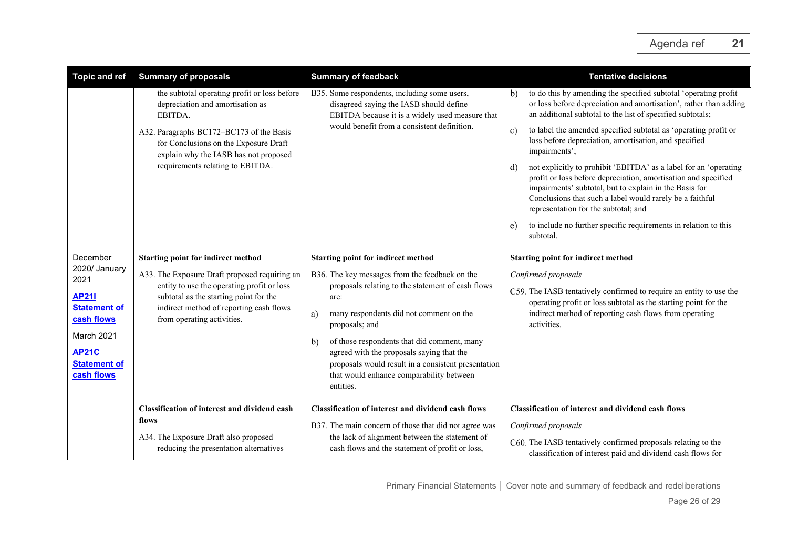| <b>Topic and ref</b>                                                                                                                                      | <b>Summary of proposals</b>                                                                                                                                                                                                                                   | <b>Summary of feedback</b>                                                                                                                                                                                                                                                                                                                                                                                                                    | <b>Tentative decisions</b>                                                                                                                                                                                                                                                                                                                                                                                                                                                                                                                                                                                                                                                                                                                                             |
|-----------------------------------------------------------------------------------------------------------------------------------------------------------|---------------------------------------------------------------------------------------------------------------------------------------------------------------------------------------------------------------------------------------------------------------|-----------------------------------------------------------------------------------------------------------------------------------------------------------------------------------------------------------------------------------------------------------------------------------------------------------------------------------------------------------------------------------------------------------------------------------------------|------------------------------------------------------------------------------------------------------------------------------------------------------------------------------------------------------------------------------------------------------------------------------------------------------------------------------------------------------------------------------------------------------------------------------------------------------------------------------------------------------------------------------------------------------------------------------------------------------------------------------------------------------------------------------------------------------------------------------------------------------------------------|
|                                                                                                                                                           | the subtotal operating profit or loss before<br>depreciation and amortisation as<br>EBITDA.<br>A32. Paragraphs BC172-BC173 of the Basis<br>for Conclusions on the Exposure Draft<br>explain why the IASB has not proposed<br>requirements relating to EBITDA. | B35. Some respondents, including some users,<br>disagreed saying the IASB should define<br>EBITDA because it is a widely used measure that<br>would benefit from a consistent definition.                                                                                                                                                                                                                                                     | to do this by amending the specified subtotal 'operating profit<br>b)<br>or loss before depreciation and amortisation', rather than adding<br>an additional subtotal to the list of specified subtotals;<br>to label the amended specified subtotal as 'operating profit or<br>$\mathbf{c})$<br>loss before depreciation, amortisation, and specified<br>impairments';<br>not explicitly to prohibit 'EBITDA' as a label for an 'operating<br>d)<br>profit or loss before depreciation, amortisation and specified<br>impairments' subtotal, but to explain in the Basis for<br>Conclusions that such a label would rarely be a faithful<br>representation for the subtotal; and<br>to include no further specific requirements in relation to this<br>e)<br>subtotal. |
| December<br>2020/ January<br>2021<br><b>AP211</b><br><b>Statement of</b><br>cash flows<br>March 2021<br><b>AP21C</b><br><b>Statement of</b><br>cash flows | Starting point for indirect method<br>A33. The Exposure Draft proposed requiring an<br>entity to use the operating profit or loss<br>subtotal as the starting point for the<br>indirect method of reporting cash flows<br>from operating activities.          | <b>Starting point for indirect method</b><br>B36. The key messages from the feedback on the<br>proposals relating to the statement of cash flows<br>are:<br>many respondents did not comment on the<br>a)<br>proposals; and<br>of those respondents that did comment, many<br>b)<br>agreed with the proposals saying that the<br>proposals would result in a consistent presentation<br>that would enhance comparability between<br>entities. | <b>Starting point for indirect method</b><br>Confirmed proposals<br>C59. The IASB tentatively confirmed to require an entity to use the<br>operating profit or loss subtotal as the starting point for the<br>indirect method of reporting cash flows from operating<br>activities.                                                                                                                                                                                                                                                                                                                                                                                                                                                                                    |
|                                                                                                                                                           | <b>Classification of interest and dividend cash</b><br>flows<br>A34. The Exposure Draft also proposed<br>reducing the presentation alternatives                                                                                                               | <b>Classification of interest and dividend cash flows</b><br>B37. The main concern of those that did not agree was<br>the lack of alignment between the statement of<br>cash flows and the statement of profit or loss,                                                                                                                                                                                                                       | <b>Classification of interest and dividend cash flows</b><br>Confirmed proposals<br>C60. The IASB tentatively confirmed proposals relating to the<br>classification of interest paid and dividend cash flows for                                                                                                                                                                                                                                                                                                                                                                                                                                                                                                                                                       |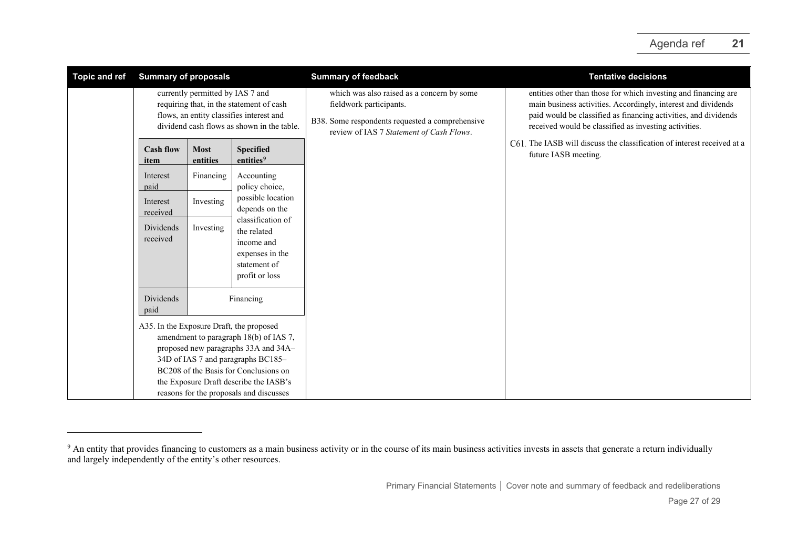<span id="page-26-0"></span>

| <b>Topic and ref</b> | <b>Summary of proposals</b>                                                                                                                                                                                                                                                                    |                         |                                                                                                     | <b>Summary of feedback</b>                                                                                                                                           | <b>Tentative decisions</b>                                                                                                                                                                                                                                   |
|----------------------|------------------------------------------------------------------------------------------------------------------------------------------------------------------------------------------------------------------------------------------------------------------------------------------------|-------------------------|-----------------------------------------------------------------------------------------------------|----------------------------------------------------------------------------------------------------------------------------------------------------------------------|--------------------------------------------------------------------------------------------------------------------------------------------------------------------------------------------------------------------------------------------------------------|
|                      | currently permitted by IAS 7 and<br>requiring that, in the statement of cash<br>flows, an entity classifies interest and<br>dividend cash flows as shown in the table.                                                                                                                         |                         |                                                                                                     | which was also raised as a concern by some<br>fieldwork participants.<br>B38. Some respondents requested a comprehensive<br>review of IAS 7 Statement of Cash Flows. | entities other than those for which investing and financing are<br>main business activities. Accordingly, interest and dividends<br>paid would be classified as financing activities, and dividends<br>received would be classified as investing activities. |
|                      | <b>Cash flow</b><br>item                                                                                                                                                                                                                                                                       | <b>Most</b><br>entities | <b>Specified</b><br>entities <sup>9</sup>                                                           |                                                                                                                                                                      | C61. The IASB will discuss the classification of interest received at a<br>future IASB meeting.                                                                                                                                                              |
|                      | Interest<br>paid                                                                                                                                                                                                                                                                               | Financing               | Accounting<br>policy choice,                                                                        |                                                                                                                                                                      |                                                                                                                                                                                                                                                              |
|                      | Interest<br>received                                                                                                                                                                                                                                                                           | Investing               | possible location<br>depends on the                                                                 |                                                                                                                                                                      |                                                                                                                                                                                                                                                              |
|                      | Dividends<br>received                                                                                                                                                                                                                                                                          | Investing               | classification of<br>the related<br>income and<br>expenses in the<br>statement of<br>profit or loss |                                                                                                                                                                      |                                                                                                                                                                                                                                                              |
|                      | Dividends<br>paid                                                                                                                                                                                                                                                                              |                         | Financing                                                                                           |                                                                                                                                                                      |                                                                                                                                                                                                                                                              |
|                      | A35. In the Exposure Draft, the proposed<br>amendment to paragraph 18(b) of IAS 7,<br>proposed new paragraphs 33A and 34A-<br>34D of IAS 7 and paragraphs BC185-<br>BC208 of the Basis for Conclusions on<br>the Exposure Draft describe the IASB's<br>reasons for the proposals and discusses |                         |                                                                                                     |                                                                                                                                                                      |                                                                                                                                                                                                                                                              |

<sup>&</sup>lt;sup>9</sup> An entity that provides financing to customers as a main business activity or in the course of its main business activities invests in assets that generate a return individually and largely independently of the entity's other resources.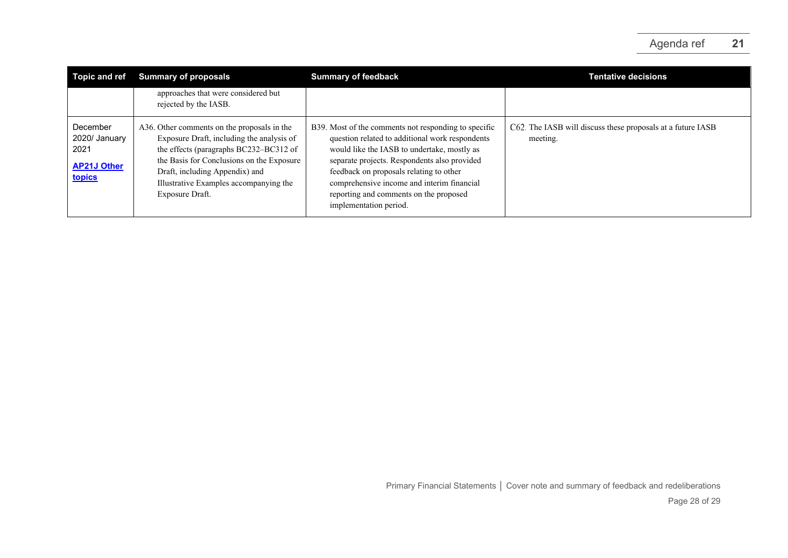| <b>Topic and ref</b>                                              | <b>Summary of proposals</b>                                                                                                                                                                                                                                                    | <b>Summary of feedback</b>                                                                                                                                                                                                                                                                                                                                          | <b>Tentative decisions</b>                                              |
|-------------------------------------------------------------------|--------------------------------------------------------------------------------------------------------------------------------------------------------------------------------------------------------------------------------------------------------------------------------|---------------------------------------------------------------------------------------------------------------------------------------------------------------------------------------------------------------------------------------------------------------------------------------------------------------------------------------------------------------------|-------------------------------------------------------------------------|
|                                                                   | approaches that were considered but<br>rejected by the IASB.                                                                                                                                                                                                                   |                                                                                                                                                                                                                                                                                                                                                                     |                                                                         |
| December<br>2020/ January<br>2021<br><b>AP21J Other</b><br>topics | A36. Other comments on the proposals in the<br>Exposure Draft, including the analysis of<br>the effects (paragraphs BC232-BC312 of<br>the Basis for Conclusions on the Exposure<br>Draft, including Appendix) and<br>Illustrative Examples accompanying the<br>Exposure Draft. | B39. Most of the comments not responding to specific<br>question related to additional work respondents<br>would like the IASB to undertake, mostly as<br>separate projects. Respondents also provided<br>feedback on proposals relating to other<br>comprehensive income and interim financial<br>reporting and comments on the proposed<br>implementation period. | C62. The IASB will discuss these proposals at a future IASB<br>meeting. |